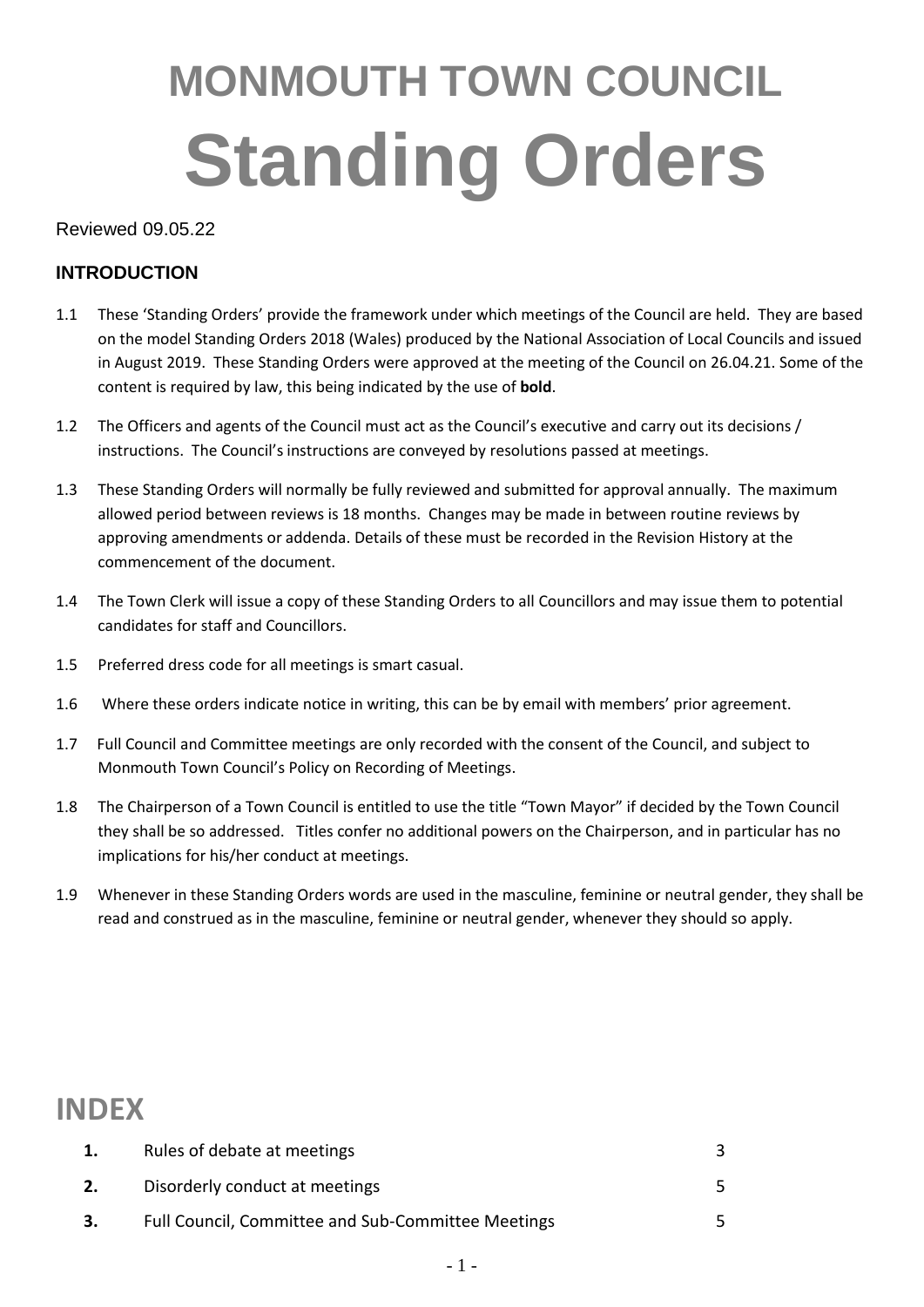# **MONMOUTH TOWN COUNCIL Standing Orders**

Reviewed 09.05.22

#### **INTRODUCTION**

- 1.1 These 'Standing Orders' provide the framework under which meetings of the Council are held. They are based on the model Standing Orders 2018 (Wales) produced by the National Association of Local Councils and issued in August 2019. These Standing Orders were approved at the meeting of the Council on 26.04.21. Some of the content is required by law, this being indicated by the use of **bold**.
- 1.2 The Officers and agents of the Council must act as the Council's executive and carry out its decisions / instructions. The Council's instructions are conveyed by resolutions passed at meetings.
- 1.3 These Standing Orders will normally be fully reviewed and submitted for approval annually. The maximum allowed period between reviews is 18 months. Changes may be made in between routine reviews by approving amendments or addenda. Details of these must be recorded in the Revision History at the commencement of the document.
- 1.4 The Town Clerk will issue a copy of these Standing Orders to all Councillors and may issue them to potential candidates for staff and Councillors.
- 1.5 Preferred dress code for all meetings is smart casual.
- 1.6 Where these orders indicate notice in writing, this can be by email with members' prior agreement.
- 1.7 Full Council and Committee meetings are only recorded with the consent of the Council, and subject to Monmouth Town Council's Policy on Recording of Meetings.
- 1.8 The Chairperson of a Town Council is entitled to use the title "Town Mayor" if decided by the Town Council they shall be so addressed. Titles confer no additional powers on the Chairperson, and in particular has no implications for his/her conduct at meetings.
- 1.9 Whenever in these Standing Orders words are used in the masculine, feminine or neutral gender, they shall be read and construed as in the masculine, feminine or neutral gender, whenever they should so apply.

#### **INDEX**

| 1. | Rules of debate at meetings                        |  |
|----|----------------------------------------------------|--|
| 2. | Disorderly conduct at meetings                     |  |
| 3. | Full Council, Committee and Sub-Committee Meetings |  |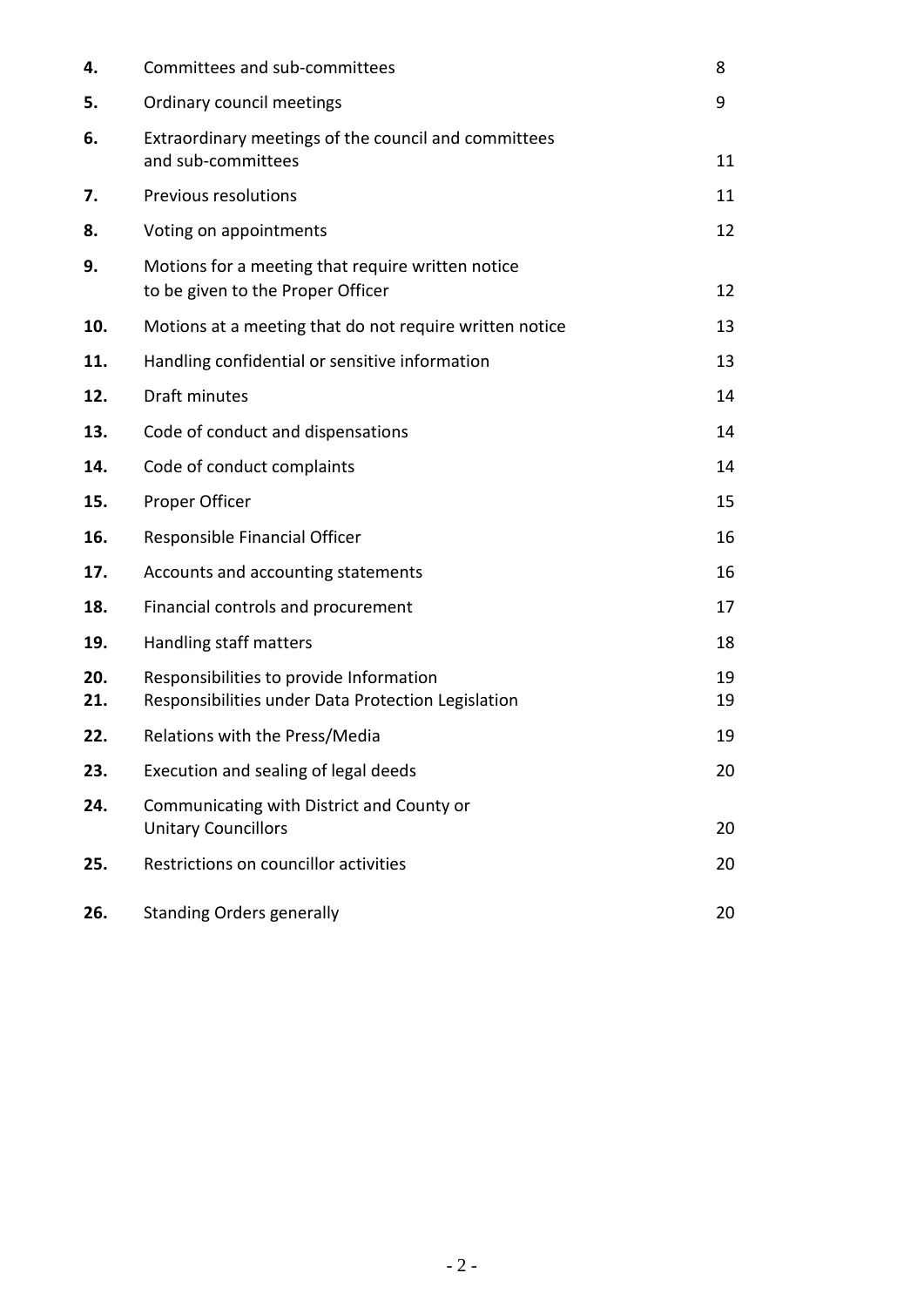| 4.         | Committees and sub-committees                                                                 | 8        |
|------------|-----------------------------------------------------------------------------------------------|----------|
| 5.         | Ordinary council meetings                                                                     | 9        |
| 6.         | Extraordinary meetings of the council and committees<br>and sub-committees                    | 11       |
| 7.         | Previous resolutions                                                                          | 11       |
| 8.         | Voting on appointments                                                                        | 12       |
| 9.         | Motions for a meeting that require written notice<br>to be given to the Proper Officer        | 12       |
| 10.        | Motions at a meeting that do not require written notice                                       | 13       |
| 11.        | Handling confidential or sensitive information                                                | 13       |
| 12.        | Draft minutes                                                                                 | 14       |
| 13.        | Code of conduct and dispensations                                                             | 14       |
| 14.        | Code of conduct complaints                                                                    | 14       |
| 15.        | Proper Officer                                                                                | 15       |
| 16.        | Responsible Financial Officer                                                                 | 16       |
| 17.        | Accounts and accounting statements                                                            | 16       |
| 18.        | Financial controls and procurement                                                            | 17       |
| 19.        | Handling staff matters                                                                        | 18       |
| 20.<br>21. | Responsibilities to provide Information<br>Responsibilities under Data Protection Legislation | 19<br>19 |
| 22.        | Relations with the Press/Media                                                                | 19       |
| 23.        | Execution and sealing of legal deeds                                                          | 20       |
| 24.        | Communicating with District and County or<br><b>Unitary Councillors</b>                       | 20       |
| 25.        | Restrictions on councillor activities                                                         | 20       |
| 26.        | <b>Standing Orders generally</b>                                                              | 20       |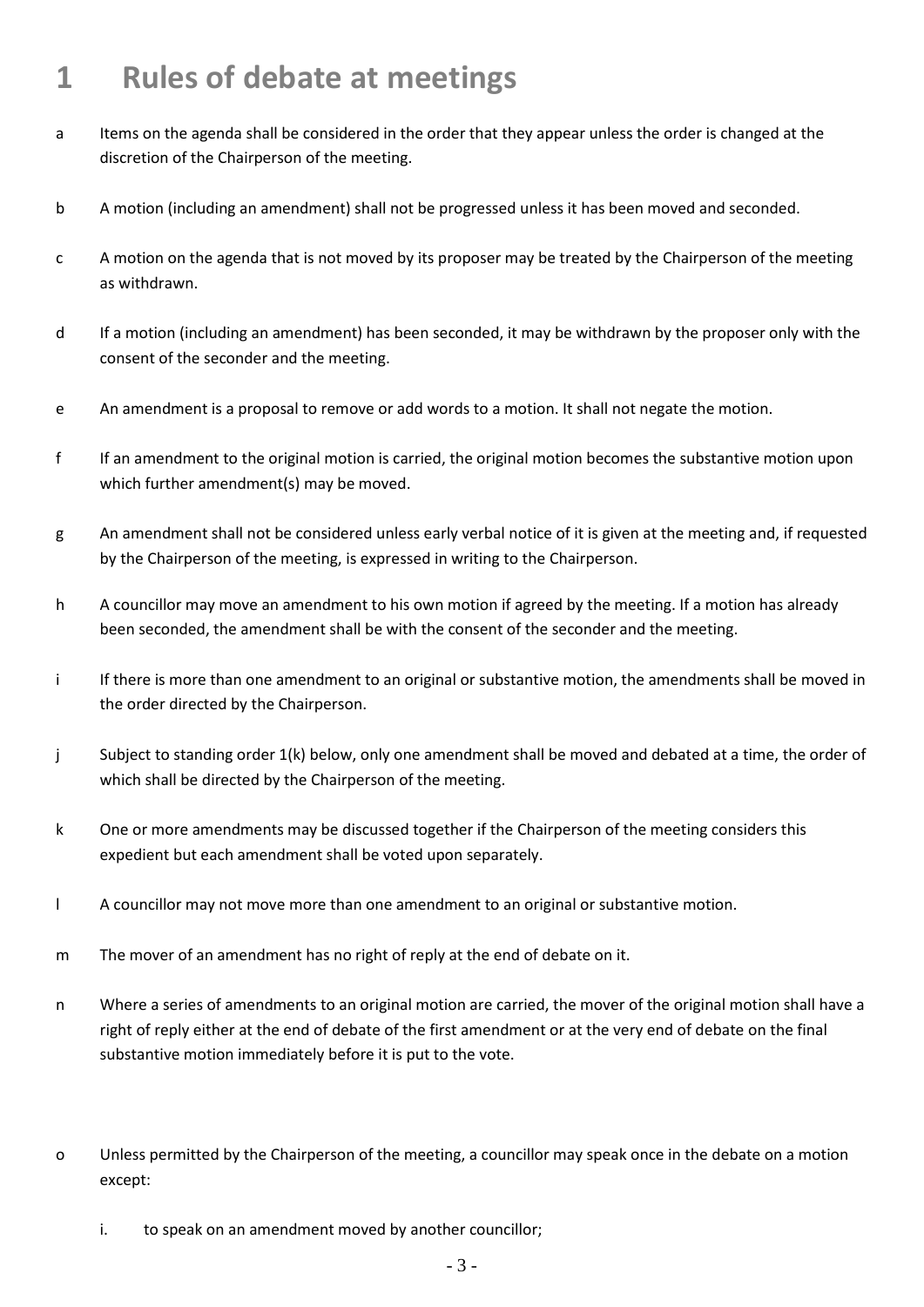# **1 Rules of debate at meetings**

- a Items on the agenda shall be considered in the order that they appear unless the order is changed at the discretion of the Chairperson of the meeting.
- b A motion (including an amendment) shall not be progressed unless it has been moved and seconded.
- c A motion on the agenda that is not moved by its proposer may be treated by the Chairperson of the meeting as withdrawn.
- d If a motion (including an amendment) has been seconded, it may be withdrawn by the proposer only with the consent of the seconder and the meeting.
- e An amendment is a proposal to remove or add words to a motion. It shall not negate the motion.
- f If an amendment to the original motion is carried, the original motion becomes the substantive motion upon which further amendment(s) may be moved.
- g An amendment shall not be considered unless early verbal notice of it is given at the meeting and, if requested by the Chairperson of the meeting, is expressed in writing to the Chairperson.
- h A councillor may move an amendment to his own motion if agreed by the meeting. If a motion has already been seconded, the amendment shall be with the consent of the seconder and the meeting.
- i If there is more than one amendment to an original or substantive motion, the amendments shall be moved in the order directed by the Chairperson.
- j Subject to standing order 1(k) below, only one amendment shall be moved and debated at a time, the order of which shall be directed by the Chairperson of the meeting.
- k One or more amendments may be discussed together if the Chairperson of the meeting considers this expedient but each amendment shall be voted upon separately.
- l A councillor may not move more than one amendment to an original or substantive motion.
- m The mover of an amendment has no right of reply at the end of debate on it.
- n Where a series of amendments to an original motion are carried, the mover of the original motion shall have a right of reply either at the end of debate of the first amendment or at the very end of debate on the final substantive motion immediately before it is put to the vote.
- o Unless permitted by the Chairperson of the meeting, a councillor may speak once in the debate on a motion except:
	- i. to speak on an amendment moved by another councillor;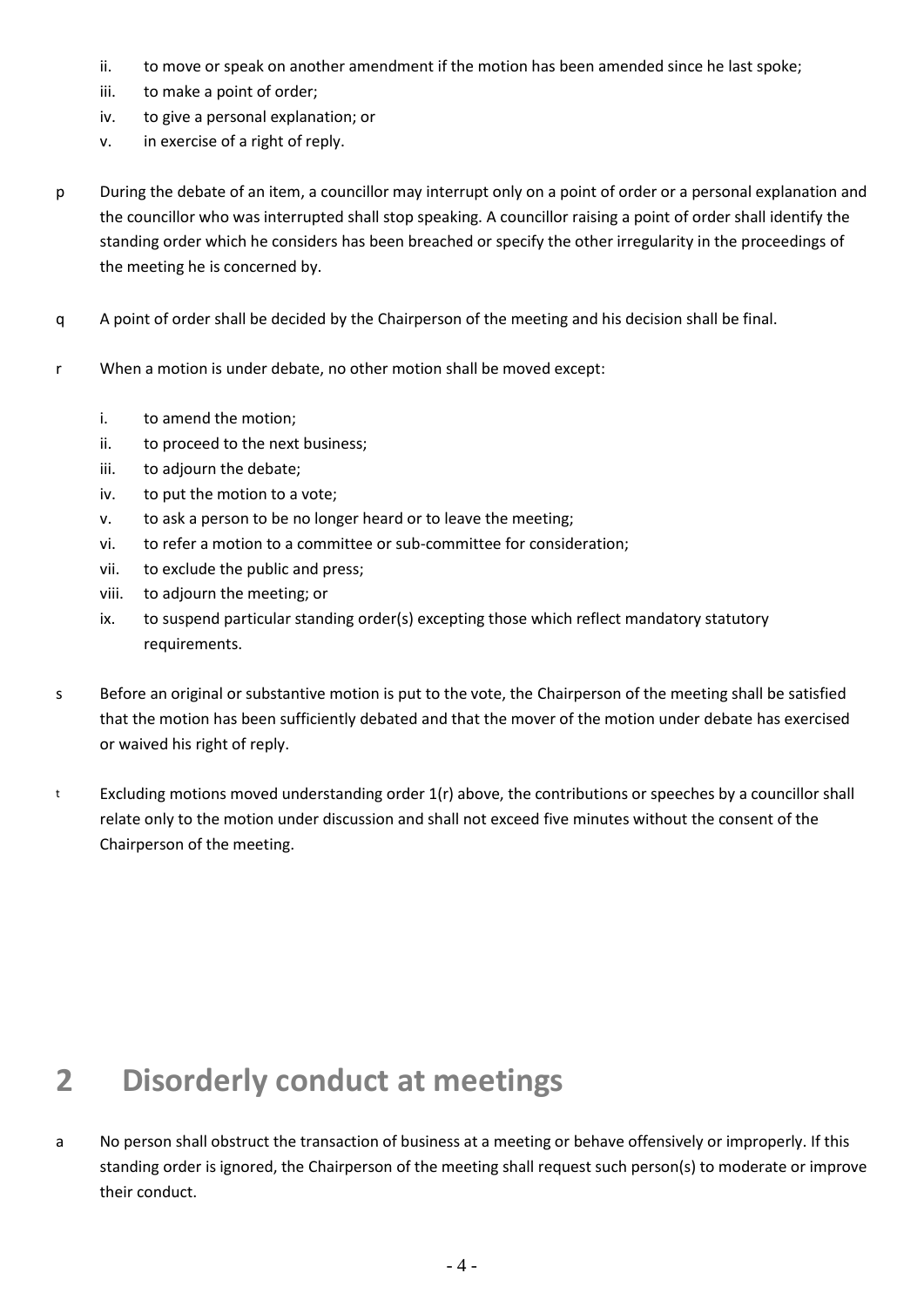- ii. to move or speak on another amendment if the motion has been amended since he last spoke;
- iii. to make a point of order;
- iv. to give a personal explanation; or
- v. in exercise of a right of reply.
- p During the debate of an item, a councillor may interrupt only on a point of order or a personal explanation and the councillor who was interrupted shall stop speaking. A councillor raising a point of order shall identify the standing order which he considers has been breached or specify the other irregularity in the proceedings of the meeting he is concerned by.
- q A point of order shall be decided by the Chairperson of the meeting and his decision shall be final.
- r When a motion is under debate, no other motion shall be moved except:
	- i. to amend the motion;
	- ii. to proceed to the next business;
	- iii. to adjourn the debate;
	- iv. to put the motion to a vote;
	- v. to ask a person to be no longer heard or to leave the meeting;
	- vi. to refer a motion to a committee or sub-committee for consideration;
	- vii. to exclude the public and press;
	- viii. to adjourn the meeting; or
	- ix. to suspend particular standing order(s) excepting those which reflect mandatory statutory requirements.
- s Before an original or substantive motion is put to the vote, the Chairperson of the meeting shall be satisfied that the motion has been sufficiently debated and that the mover of the motion under debate has exercised or waived his right of reply.
- t Excluding motions moved understanding order 1(r) above, the contributions or speeches by a councillor shall relate only to the motion under discussion and shall not exceed five minutes without the consent of the Chairperson of the meeting.

## **2 Disorderly conduct at meetings**

a No person shall obstruct the transaction of business at a meeting or behave offensively or improperly. If this standing order is ignored, the Chairperson of the meeting shall request such person(s) to moderate or improve their conduct.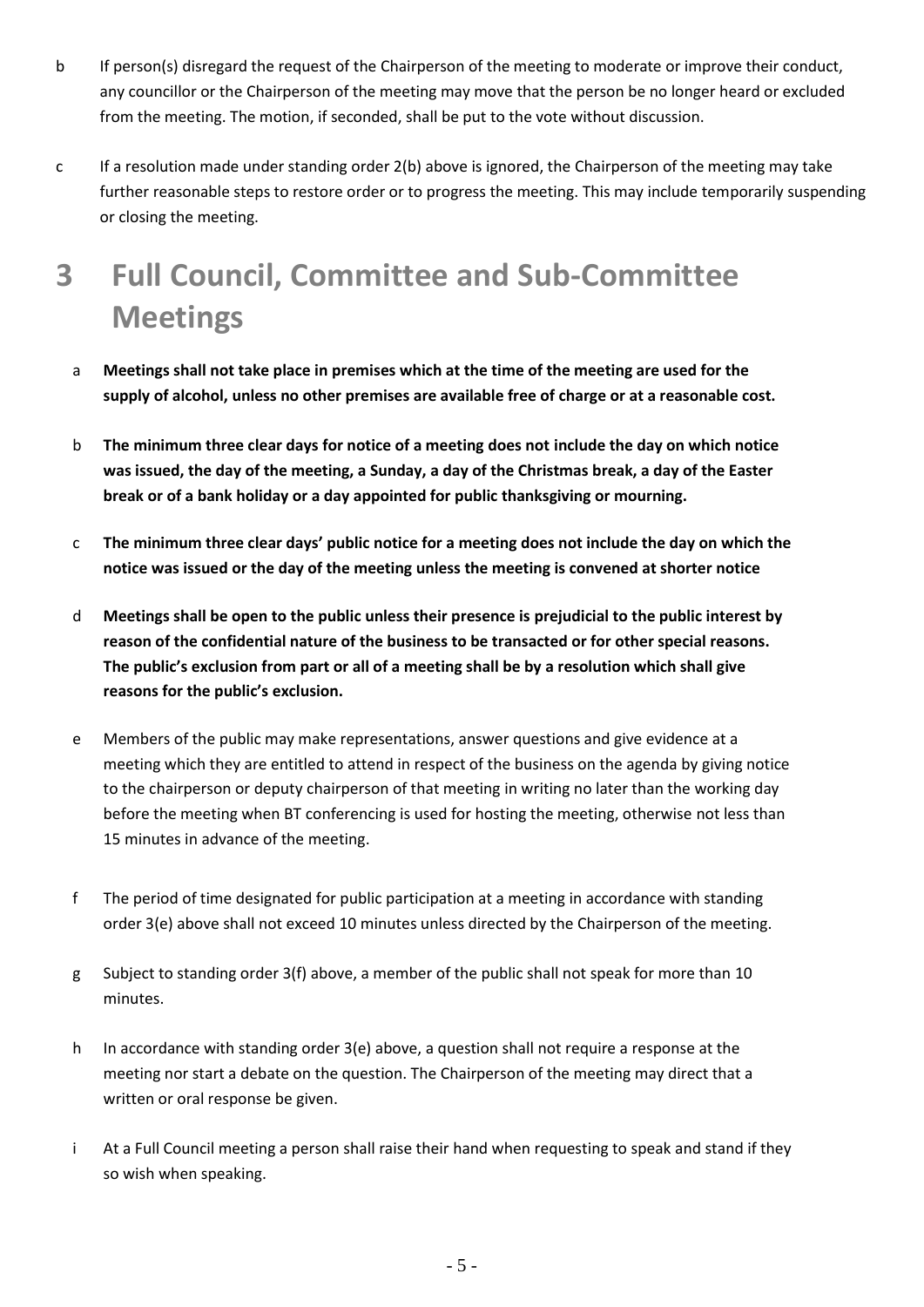- b If person(s) disregard the request of the Chairperson of the meeting to moderate or improve their conduct, any councillor or the Chairperson of the meeting may move that the person be no longer heard or excluded from the meeting. The motion, if seconded, shall be put to the vote without discussion.
- c If a resolution made under standing order 2(b) above is ignored, the Chairperson of the meeting may take further reasonable steps to restore order or to progress the meeting. This may include temporarily suspending or closing the meeting.

# **3 Full Council, Committee and Sub-Committee Meetings**

- a **Meetings shall not take place in premises which at the time of the meeting are used for the supply of alcohol, unless no other premises are available free of charge or at a reasonable cost.**
- b **The minimum three clear days for notice of a meeting does not include the day on which notice was issued, the day of the meeting, a Sunday, a day of the Christmas break, a day of the Easter break or of a bank holiday or a day appointed for public thanksgiving or mourning.**
- c **The minimum three clear days' public notice for a meeting does not include the day on which the notice was issued or the day of the meeting unless the meeting is convened at shorter notice**
- d **Meetings shall be open to the public unless their presence is prejudicial to the public interest by reason of the confidential nature of the business to be transacted or for other special reasons. The public's exclusion from part or all of a meeting shall be by a resolution which shall give reasons for the public's exclusion.**
- e Members of the public may make representations, answer questions and give evidence at a meeting which they are entitled to attend in respect of the business on the agenda by giving notice to the chairperson or deputy chairperson of that meeting in writing no later than the working day before the meeting when BT conferencing is used for hosting the meeting, otherwise not less than 15 minutes in advance of the meeting.
- f The period of time designated for public participation at a meeting in accordance with standing order 3(e) above shall not exceed 10 minutes unless directed by the Chairperson of the meeting.
- g Subject to standing order 3(f) above, a member of the public shall not speak for more than 10 minutes.
- h In accordance with standing order 3(e) above, a question shall not require a response at the meeting nor start a debate on the question. The Chairperson of the meeting may direct that a written or oral response be given.
- i At a Full Council meeting a person shall raise their hand when requesting to speak and stand if they so wish when speaking.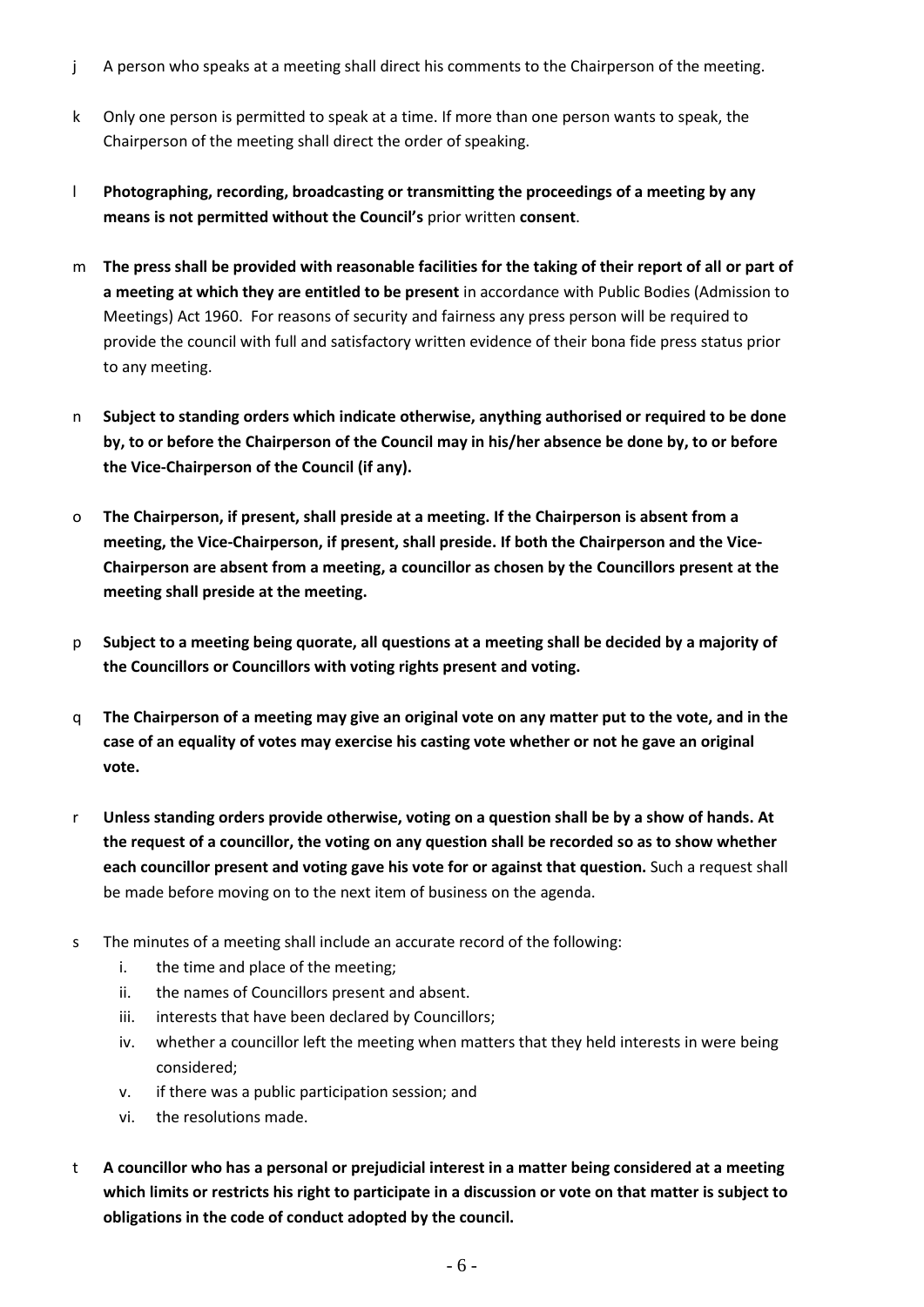- j A person who speaks at a meeting shall direct his comments to the Chairperson of the meeting.
- k Only one person is permitted to speak at a time. If more than one person wants to speak, the Chairperson of the meeting shall direct the order of speaking.
- l **Photographing, recording, broadcasting or transmitting the proceedings of a meeting by any means is not permitted without the Council's** prior written **consent**.
- m **The press shall be provided with reasonable facilities for the taking of their report of all or part of a meeting at which they are entitled to be present** in accordance with Public Bodies (Admission to Meetings) Act 1960. For reasons of security and fairness any press person will be required to provide the council with full and satisfactory written evidence of their bona fide press status prior to any meeting.
- n **Subject to standing orders which indicate otherwise, anything authorised or required to be done by, to or before the Chairperson of the Council may in his/her absence be done by, to or before the Vice-Chairperson of the Council (if any).**
- o **The Chairperson, if present, shall preside at a meeting. If the Chairperson is absent from a meeting, the Vice-Chairperson, if present, shall preside. If both the Chairperson and the Vice-Chairperson are absent from a meeting, a councillor as chosen by the Councillors present at the meeting shall preside at the meeting.**
- p **Subject to a meeting being quorate, all questions at a meeting shall be decided by a majority of the Councillors or Councillors with voting rights present and voting.**
- q **The Chairperson of a meeting may give an original vote on any matter put to the vote, and in the case of an equality of votes may exercise his casting vote whether or not he gave an original vote.**
- r **Unless standing orders provide otherwise, voting on a question shall be by a show of hands. At the request of a councillor, the voting on any question shall be recorded so as to show whether each councillor present and voting gave his vote for or against that question.** Such a request shall be made before moving on to the next item of business on the agenda.
- s The minutes of a meeting shall include an accurate record of the following:
	- i. the time and place of the meeting;
	- ii. the names of Councillors present and absent.
	- iii. interests that have been declared by Councillors;
	- iv. whether a councillor left the meeting when matters that they held interests in were being considered;
	- v. if there was a public participation session; and
	- vi. the resolutions made.
- t **A councillor who has a personal or prejudicial interest in a matter being considered at a meeting which limits or restricts his right to participate in a discussion or vote on that matter is subject to obligations in the code of conduct adopted by the council.**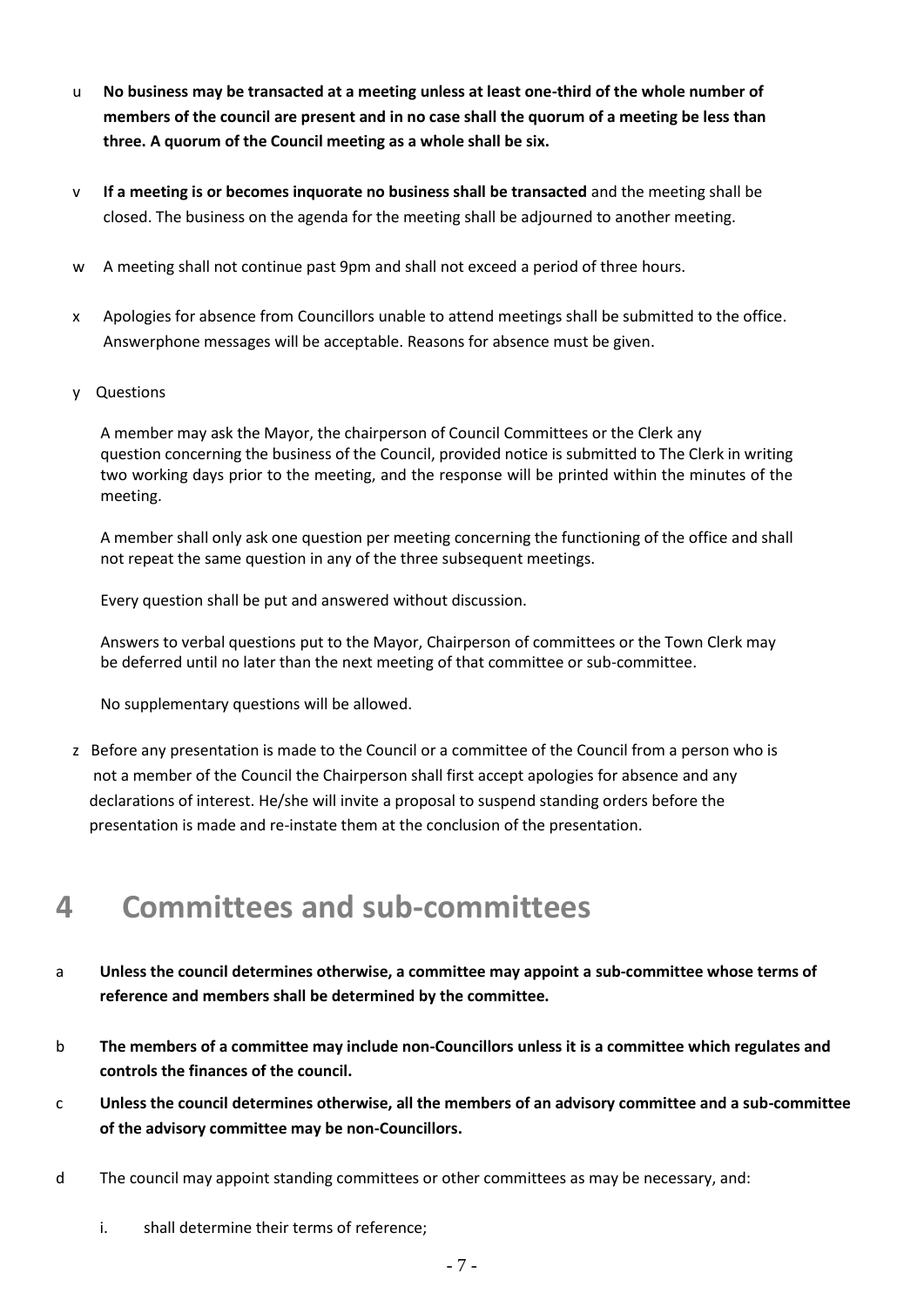- u **No business may be transacted at a meeting unless at least one-third of the whole number of members of the council are present and in no case shall the quorum of a meeting be less than three. A quorum of the Council meeting as a whole shall be six.**
- v **If a meeting is or becomes inquorate no business shall be transacted** and the meeting shall be closed. The business on the agenda for the meeting shall be adjourned to another meeting.
- w A meeting shall not continue past 9pm and shall not exceed a period of three hours.
- x Apologies for absence from Councillors unable to attend meetings shall be submitted to the office. Answerphone messages will be acceptable. Reasons for absence must be given.
- y Questions

A member may ask the Mayor, the chairperson of Council Committees or the Clerk any question concerning the business of the Council, provided notice is submitted to The Clerk in writing two working days prior to the meeting, and the response will be printed within the minutes of the meeting.

A member shall only ask one question per meeting concerning the functioning of the office and shall not repeat the same question in any of the three subsequent meetings.

Every question shall be put and answered without discussion.

Answers to verbal questions put to the Mayor, Chairperson of committees or the Town Clerk may be deferred until no later than the next meeting of that committee or sub-committee.

No supplementary questions will be allowed.

z Before any presentation is made to the Council or a committee of the Council from a person who is not a member of the Council the Chairperson shall first accept apologies for absence and any declarations of interest. He/she will invite a proposal to suspend standing orders before the presentation is made and re-instate them at the conclusion of the presentation.

#### **4 Committees and sub-committees**

- a **Unless the council determines otherwise, a committee may appoint a sub-committee whose terms of reference and members shall be determined by the committee.**
- b **The members of a committee may include non-Councillors unless it is a committee which regulates and controls the finances of the council.**
- c **Unless the council determines otherwise, all the members of an advisory committee and a sub-committee of the advisory committee may be non-Councillors.**
- d The council may appoint standing committees or other committees as may be necessary, and:
	- i. shall determine their terms of reference;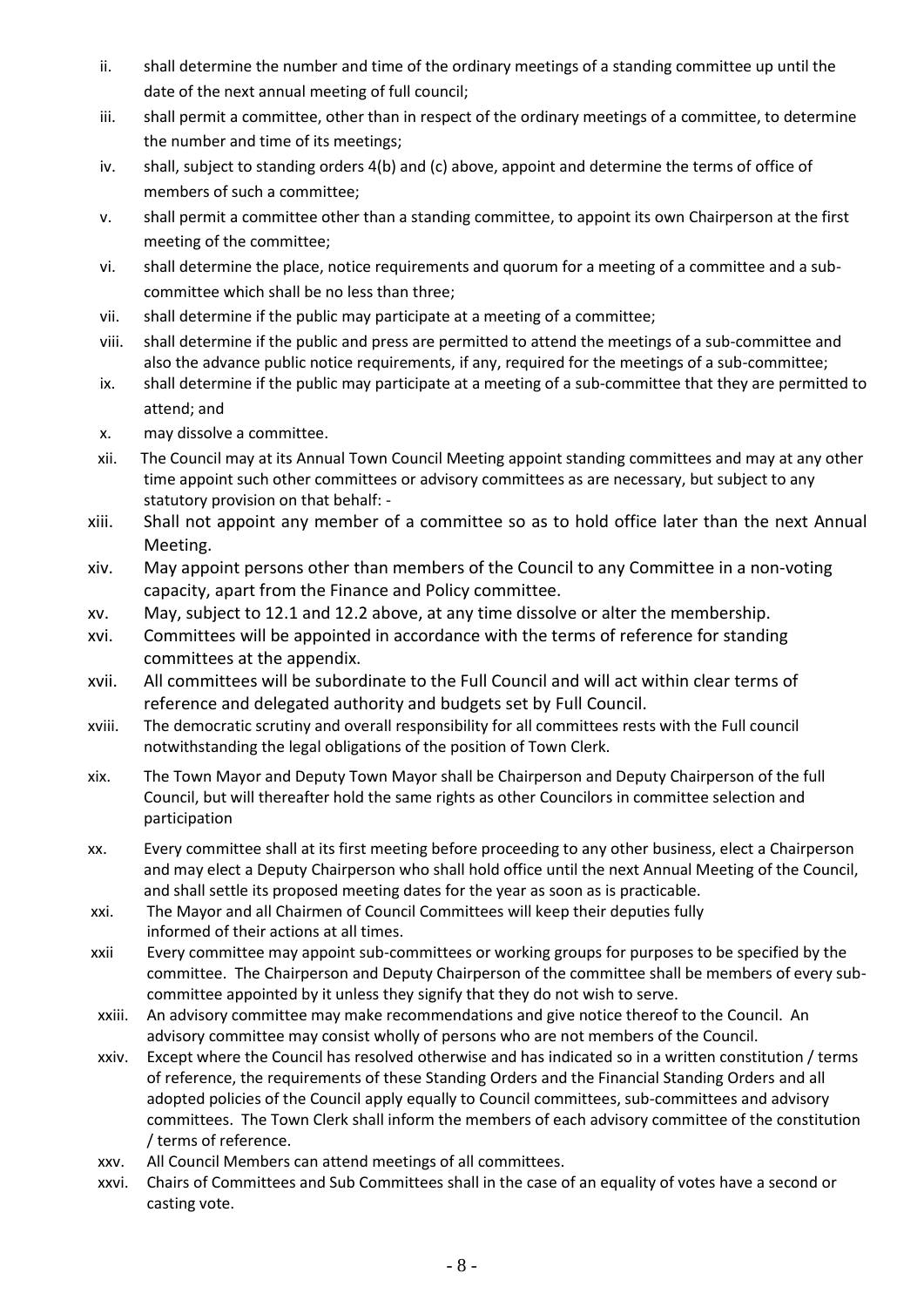- ii. shall determine the number and time of the ordinary meetings of a standing committee up until the date of the next annual meeting of full council;
- iii. shall permit a committee, other than in respect of the ordinary meetings of a committee, to determine the number and time of its meetings;
- iv. shall, subject to standing orders 4(b) and (c) above, appoint and determine the terms of office of members of such a committee;
- v. shall permit a committee other than a standing committee, to appoint its own Chairperson at the first meeting of the committee;
- vi. shall determine the place, notice requirements and quorum for a meeting of a committee and a subcommittee which shall be no less than three;
- vii. shall determine if the public may participate at a meeting of a committee;
- viii. shall determine if the public and press are permitted to attend the meetings of a sub-committee and also the advance public notice requirements, if any, required for the meetings of a sub-committee;
- ix. shall determine if the public may participate at a meeting of a sub-committee that they are permitted to attend; and
- x. may dissolve a committee.
- xii. The Council may at its Annual Town Council Meeting appoint standing committees and may at any other time appoint such other committees or advisory committees as are necessary, but subject to any statutory provision on that behalf: -
- xiii. Shall not appoint any member of a committee so as to hold office later than the next Annual Meeting.
- xiv. May appoint persons other than members of the Council to any Committee in a non-voting capacity, apart from the Finance and Policy committee.
- xv. May, subject to 12.1 and 12.2 above, at any time dissolve or alter the membership.
- xvi. Committees will be appointed in accordance with the terms of reference for standing committees at the appendix.
- xvii. All committees will be subordinate to the Full Council and will act within clear terms of reference and delegated authority and budgets set by Full Council.
- xviii. The democratic scrutiny and overall responsibility for all committees rests with the Full council notwithstanding the legal obligations of the position of Town Clerk.
- xix. The Town Mayor and Deputy Town Mayor shall be Chairperson and Deputy Chairperson of the full Council, but will thereafter hold the same rights as other Councilors in committee selection and participation
- xx. Every committee shall at its first meeting before proceeding to any other business, elect a Chairperson and may elect a Deputy Chairperson who shall hold office until the next Annual Meeting of the Council, and shall settle its proposed meeting dates for the year as soon as is practicable.
- xxi. The Mayor and all Chairmen of Council Committees will keep their deputies fully informed of their actions at all times.
- xxii Every committee may appoint sub-committees or working groups for purposes to be specified by the committee. The Chairperson and Deputy Chairperson of the committee shall be members of every subcommittee appointed by it unless they signify that they do not wish to serve.
- xxiii. An advisory committee may make recommendations and give notice thereof to the Council. An advisory committee may consist wholly of persons who are not members of the Council.
- xxiv. Except where the Council has resolved otherwise and has indicated so in a written constitution / terms of reference, the requirements of these Standing Orders and the Financial Standing Orders and all adopted policies of the Council apply equally to Council committees, sub-committees and advisory committees. The Town Clerk shall inform the members of each advisory committee of the constitution / terms of reference.
- xxv. All Council Members can attend meetings of all committees.
- xxvi. Chairs of Committees and Sub Committees shall in the case of an equality of votes have a second or casting vote.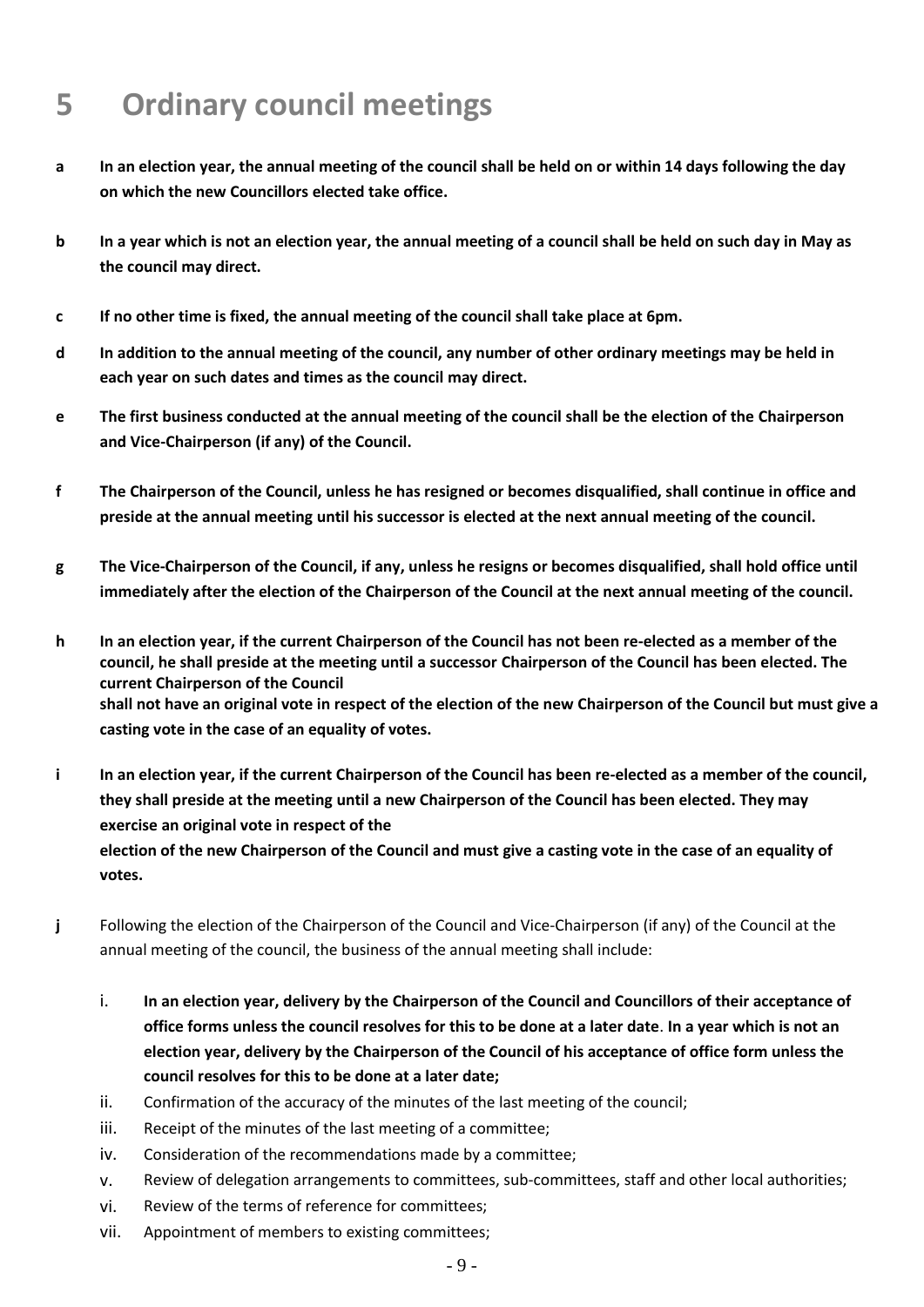# **5 Ordinary council meetings**

- **a In an election year, the annual meeting of the council shall be held on or within 14 days following the day on which the new Councillors elected take office.**
- **b In a year which is not an election year, the annual meeting of a council shall be held on such day in May as the council may direct.**
- **c If no other time is fixed, the annual meeting of the council shall take place at 6pm.**
- **d In addition to the annual meeting of the council, any number of other ordinary meetings may be held in each year on such dates and times as the council may direct.**
- **e The first business conducted at the annual meeting of the council shall be the election of the Chairperson and Vice-Chairperson (if any) of the Council.**
- **f The Chairperson of the Council, unless he has resigned or becomes disqualified, shall continue in office and preside at the annual meeting until his successor is elected at the next annual meeting of the council.**
- **g The Vice-Chairperson of the Council, if any, unless he resigns or becomes disqualified, shall hold office until immediately after the election of the Chairperson of the Council at the next annual meeting of the council.**
- **h In an election year, if the current Chairperson of the Council has not been re-elected as a member of the council, he shall preside at the meeting until a successor Chairperson of the Council has been elected. The current Chairperson of the Council shall not have an original vote in respect of the election of the new Chairperson of the Council but must give a casting vote in the case of an equality of votes.**
- **i In an election year, if the current Chairperson of the Council has been re-elected as a member of the council, they shall preside at the meeting until a new Chairperson of the Council has been elected. They may exercise an original vote in respect of the election of the new Chairperson of the Council and must give a casting vote in the case of an equality of votes.**
- **j** Following the election of the Chairperson of the Council and Vice-Chairperson (if any) of the Council at the annual meeting of the council, the business of the annual meeting shall include:
	- i. **In an election year, delivery by the Chairperson of the Council and Councillors of their acceptance of office forms unless the council resolves for this to be done at a later date**. **In a year which is not an election year, delivery by the Chairperson of the Council of his acceptance of office form unless the council resolves for this to be done at a later date;**
	- ii. Confirmation of the accuracy of the minutes of the last meeting of the council;
	- iii. Receipt of the minutes of the last meeting of a committee;
	- iv. Consideration of the recommendations made by a committee;
	- v. Review of delegation arrangements to committees, sub-committees, staff and other local authorities;
	- vi. Review of the terms of reference for committees;
	- vii. Appointment of members to existing committees;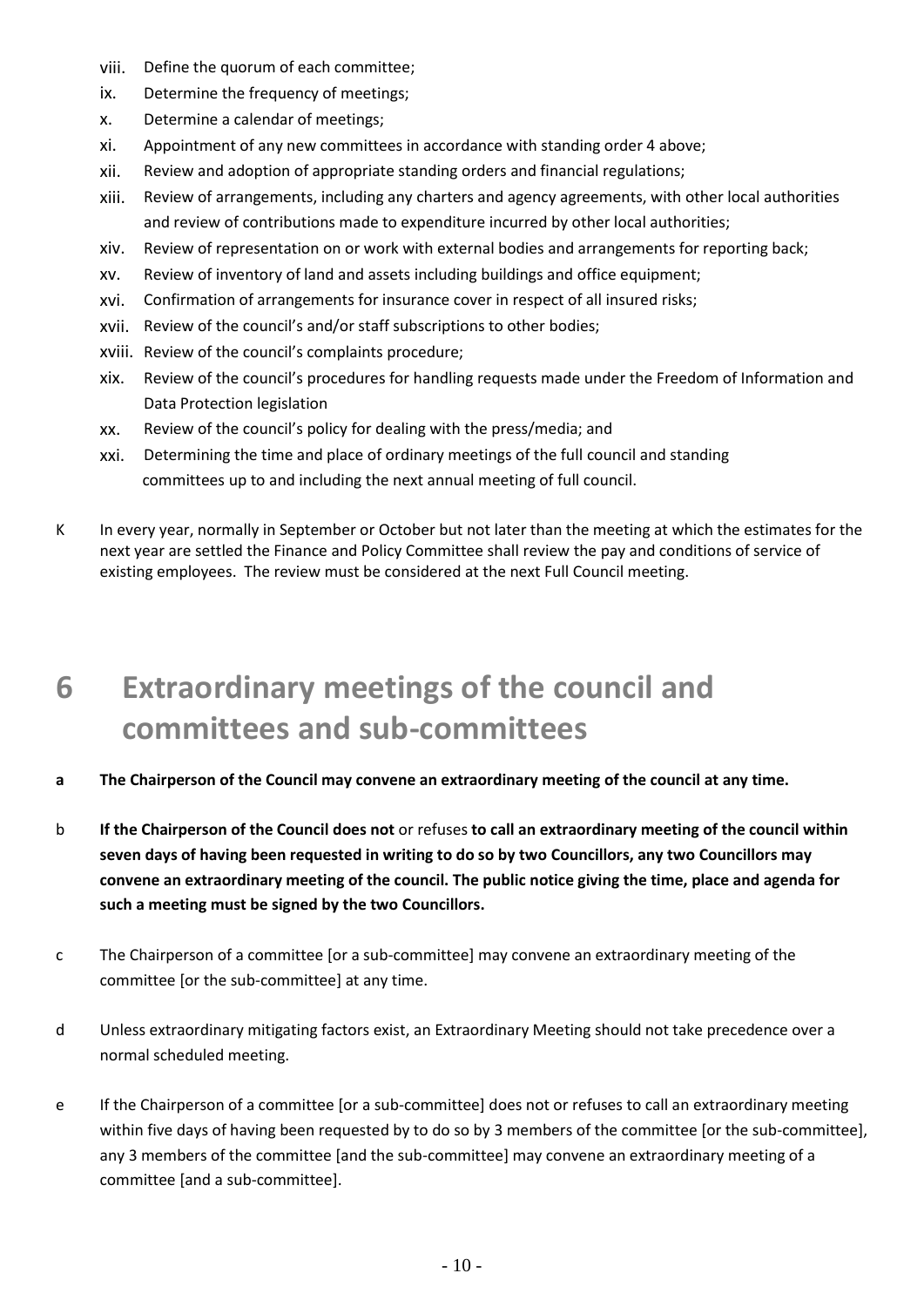- viii. Define the quorum of each committee;
- ix. Determine the frequency of meetings;
- x. Determine a calendar of meetings;
- xi. Appointment of any new committees in accordance with standing order 4 above;
- xii. Review and adoption of appropriate standing orders and financial regulations;
- xiii. Review of arrangements, including any charters and agency agreements, with other local authorities and review of contributions made to expenditure incurred by other local authorities;
- xiv. Review of representation on or work with external bodies and arrangements for reporting back;
- xv. Review of inventory of land and assets including buildings and office equipment;
- xvi. Confirmation of arrangements for insurance cover in respect of all insured risks;
- xvii. Review of the council's and/or staff subscriptions to other bodies;
- xviii. Review of the council's complaints procedure;
- xix. Review of the council's procedures for handling requests made under the Freedom of Information and Data Protection legislation
- xx. Review of the council's policy for dealing with the press/media; and
- xxi. Determining the time and place of ordinary meetings of the full council and standing committees up to and including the next annual meeting of full council.
- K In every year, normally in September or October but not later than the meeting at which the estimates for the next year are settled the Finance and Policy Committee shall review the pay and conditions of service of existing employees. The review must be considered at the next Full Council meeting.

# **6 Extraordinary meetings of the council and committees and sub-committees**

- **a The Chairperson of the Council may convene an extraordinary meeting of the council at any time.**
- b **If the Chairperson of the Council does not** or refuses **to call an extraordinary meeting of the council within seven days of having been requested in writing to do so by two Councillors, any two Councillors may convene an extraordinary meeting of the council. The public notice giving the time, place and agenda for such a meeting must be signed by the two Councillors.**
- c The Chairperson of a committee [or a sub-committee] may convene an extraordinary meeting of the committee [or the sub-committee] at any time.
- d Unless extraordinary mitigating factors exist, an Extraordinary Meeting should not take precedence over a normal scheduled meeting.
- e If the Chairperson of a committee [or a sub-committee] does not or refuses to call an extraordinary meeting within five days of having been requested by to do so by 3 members of the committee [or the sub-committee], any 3 members of the committee [and the sub-committee] may convene an extraordinary meeting of a committee [and a sub-committee].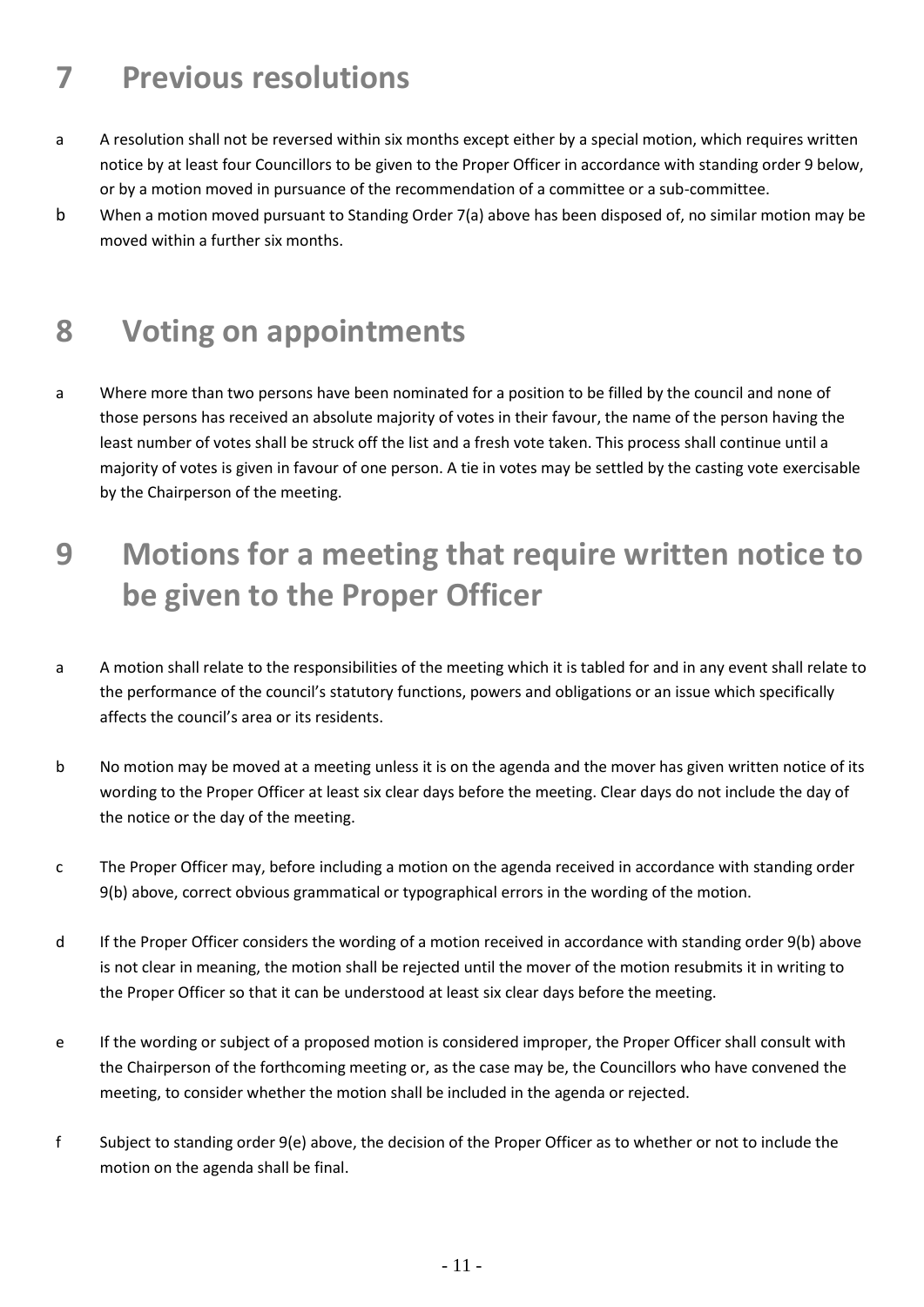# **7 Previous resolutions**

- a A resolution shall not be reversed within six months except either by a special motion, which requires written notice by at least four Councillors to be given to the Proper Officer in accordance with standing order 9 below, or by a motion moved in pursuance of the recommendation of a committee or a sub-committee.
- b When a motion moved pursuant to Standing Order 7(a) above has been disposed of, no similar motion may be moved within a further six months.

#### **8 Voting on appointments**

a Where more than two persons have been nominated for a position to be filled by the council and none of those persons has received an absolute majority of votes in their favour, the name of the person having the least number of votes shall be struck off the list and a fresh vote taken. This process shall continue until a majority of votes is given in favour of one person. A tie in votes may be settled by the casting vote exercisable by the Chairperson of the meeting.

# **9 Motions for a meeting that require written notice to be given to the Proper Officer**

- a A motion shall relate to the responsibilities of the meeting which it is tabled for and in any event shall relate to the performance of the council's statutory functions, powers and obligations or an issue which specifically affects the council's area or its residents.
- b No motion may be moved at a meeting unless it is on the agenda and the mover has given written notice of its wording to the Proper Officer at least six clear days before the meeting. Clear days do not include the day of the notice or the day of the meeting.
- c The Proper Officer may, before including a motion on the agenda received in accordance with standing order 9(b) above, correct obvious grammatical or typographical errors in the wording of the motion.
- d If the Proper Officer considers the wording of a motion received in accordance with standing order 9(b) above is not clear in meaning, the motion shall be rejected until the mover of the motion resubmits it in writing to the Proper Officer so that it can be understood at least six clear days before the meeting.
- e If the wording or subject of a proposed motion is considered improper, the Proper Officer shall consult with the Chairperson of the forthcoming meeting or, as the case may be, the Councillors who have convened the meeting, to consider whether the motion shall be included in the agenda or rejected.
- f Subject to standing order 9(e) above, the decision of the Proper Officer as to whether or not to include the motion on the agenda shall be final.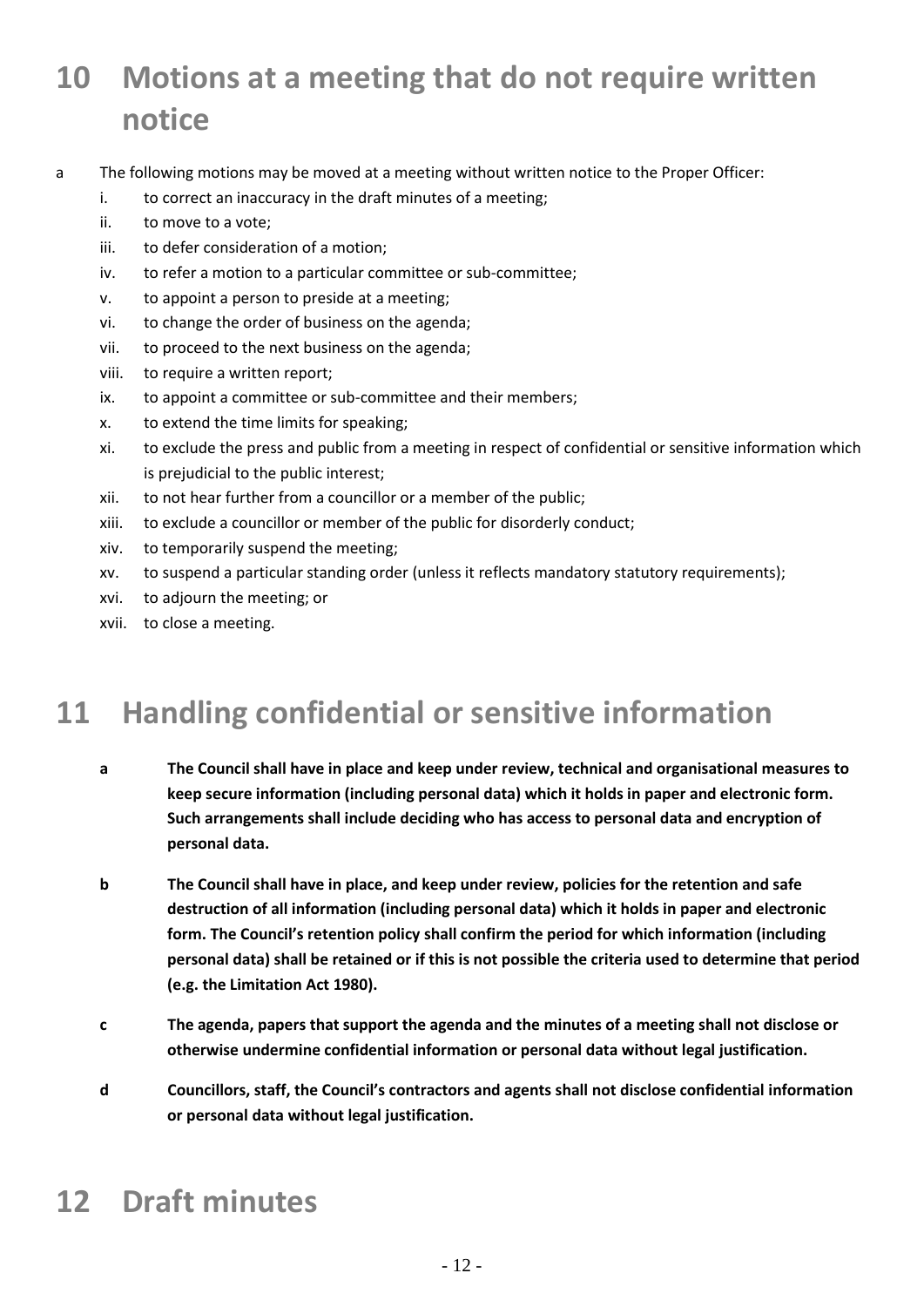# **10 Motions at a meeting that do not require written notice**

- a The following motions may be moved at a meeting without written notice to the Proper Officer:
	- i. to correct an inaccuracy in the draft minutes of a meeting;
	- ii. to move to a vote;
	- iii. to defer consideration of a motion;
	- iv. to refer a motion to a particular committee or sub-committee;
	- v. to appoint a person to preside at a meeting;
	- vi. to change the order of business on the agenda;
	- vii. to proceed to the next business on the agenda;
	- viii. to require a written report;
	- ix. to appoint a committee or sub-committee and their members;
	- x. to extend the time limits for speaking;
	- xi. to exclude the press and public from a meeting in respect of confidential or sensitive information which is prejudicial to the public interest;
	- xii. to not hear further from a councillor or a member of the public;
	- xiii. to exclude a councillor or member of the public for disorderly conduct;
	- xiv. to temporarily suspend the meeting;
	- xv. to suspend a particular standing order (unless it reflects mandatory statutory requirements);
	- xvi. to adjourn the meeting; or
	- xvii. to close a meeting.

## **11 Handling confidential or sensitive information**

- **a The Council shall have in place and keep under review, technical and organisational measures to keep secure information (including personal data) which it holds in paper and electronic form. Such arrangements shall include deciding who has access to personal data and encryption of personal data.**
- **b The Council shall have in place, and keep under review, policies for the retention and safe destruction of all information (including personal data) which it holds in paper and electronic form. The Council's retention policy shall confirm the period for which information (including personal data) shall be retained or if this is not possible the criteria used to determine that period (e.g. the Limitation Act 1980).**
- **c The agenda, papers that support the agenda and the minutes of a meeting shall not disclose or otherwise undermine confidential information or personal data without legal justification.**
- **d Councillors, staff, the Council's contractors and agents shall not disclose confidential information or personal data without legal justification.**

# **12 Draft minutes**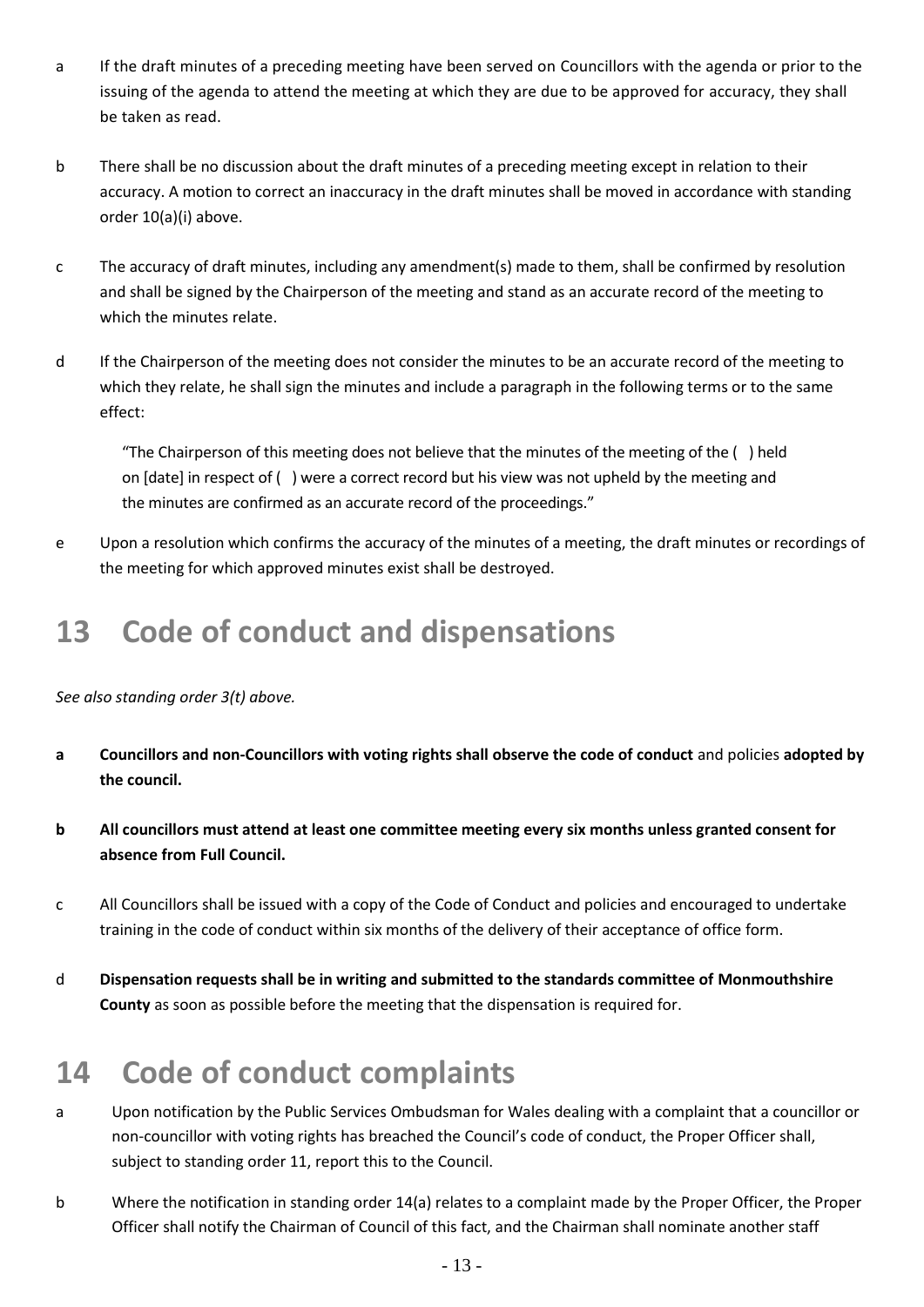- a If the draft minutes of a preceding meeting have been served on Councillors with the agenda or prior to the issuing of the agenda to attend the meeting at which they are due to be approved for accuracy, they shall be taken as read.
- b There shall be no discussion about the draft minutes of a preceding meeting except in relation to their accuracy. A motion to correct an inaccuracy in the draft minutes shall be moved in accordance with standing order 10(a)(i) above.
- c The accuracy of draft minutes, including any amendment(s) made to them, shall be confirmed by resolution and shall be signed by the Chairperson of the meeting and stand as an accurate record of the meeting to which the minutes relate.
- d If the Chairperson of the meeting does not consider the minutes to be an accurate record of the meeting to which they relate, he shall sign the minutes and include a paragraph in the following terms or to the same effect:

"The Chairperson of this meeting does not believe that the minutes of the meeting of the ( ) held on [date] in respect of ( ) were a correct record but his view was not upheld by the meeting and the minutes are confirmed as an accurate record of the proceedings."

e Upon a resolution which confirms the accuracy of the minutes of a meeting, the draft minutes or recordings of the meeting for which approved minutes exist shall be destroyed.

### **13 Code of conduct and dispensations**

*See also standing order 3(t) above.* 

- **a Councillors and non-Councillors with voting rights shall observe the code of conduct** and policies **adopted by the council.**
- **b All councillors must attend at least one committee meeting every six months unless granted consent for absence from Full Council.**
- c All Councillors shall be issued with a copy of the Code of Conduct and policies and encouraged to undertake training in the code of conduct within six months of the delivery of their acceptance of office form.
- d **Dispensation requests shall be in writing and submitted to the standards committee of Monmouthshire County** as soon as possible before the meeting that the dispensation is required for.

# **14 Code of conduct complaints**

- a Upon notification by the Public Services Ombudsman for Wales dealing with a complaint that a councillor or non-councillor with voting rights has breached the Council's code of conduct, the Proper Officer shall, subject to standing order 11, report this to the Council.
- b Where the notification in standing order 14(a) relates to a complaint made by the Proper Officer, the Proper Officer shall notify the Chairman of Council of this fact, and the Chairman shall nominate another staff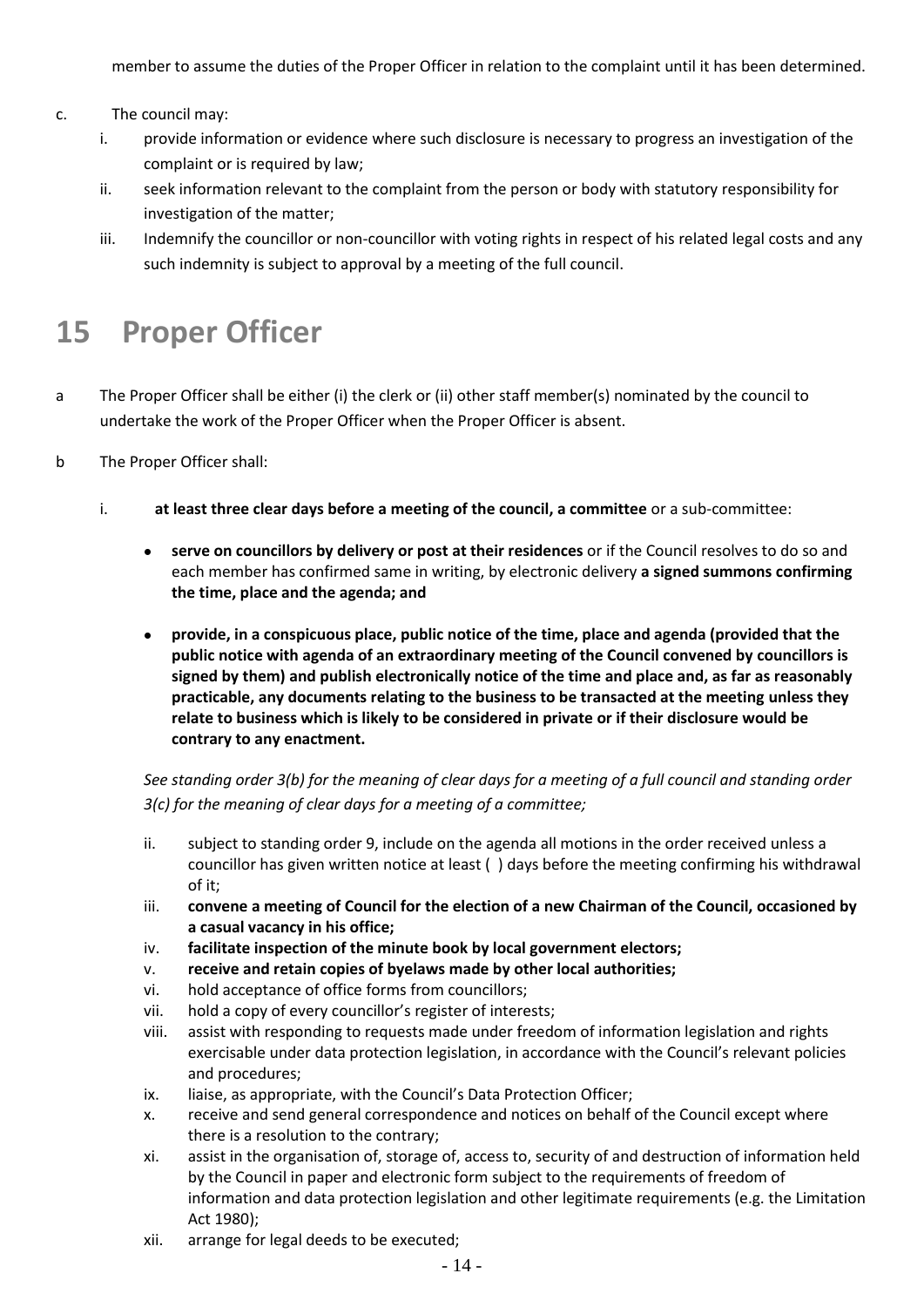member to assume the duties of the Proper Officer in relation to the complaint until it has been determined.

- c. The council may:
	- i. provide information or evidence where such disclosure is necessary to progress an investigation of the complaint or is required by law;
	- ii. seek information relevant to the complaint from the person or body with statutory responsibility for investigation of the matter;
	- iii. Indemnify the councillor or non-councillor with voting rights in respect of his related legal costs and any such indemnity is subject to approval by a meeting of the full council.

### **15 Proper Officer**

- a The Proper Officer shall be either (i) the clerk or (ii) other staff member(s) nominated by the council to undertake the work of the Proper Officer when the Proper Officer is absent.
- b The Proper Officer shall:
	- i. **at least three clear days before a meeting of the council, a committee** or a sub-committee:
		- **serve on councillors by delivery or post at their residences** or if the Council resolves to do so and each member has confirmed same in writing, by electronic delivery **a signed summons confirming the time, place and the agenda; and**
		- **provide, in a conspicuous place, public notice of the time, place and agenda (provided that the public notice with agenda of an extraordinary meeting of the Council convened by councillors is signed by them) and publish electronically notice of the time and place and, as far as reasonably practicable, any documents relating to the business to be transacted at the meeting unless they relate to business which is likely to be considered in private or if their disclosure would be contrary to any enactment.**

*See standing order 3(b) for the meaning of clear days for a meeting of a full council and standing order 3(c) for the meaning of clear days for a meeting of a committee;*

- ii. subject to standing order 9, include on the agenda all motions in the order received unless a councillor has given written notice at least ( ) days before the meeting confirming his withdrawal of it;
- iii. **convene a meeting of Council for the election of a new Chairman of the Council, occasioned by a casual vacancy in his office;**
- iv. **facilitate inspection of the minute book by local government electors;**
- v. **receive and retain copies of byelaws made by other local authorities;**
- vi. hold acceptance of office forms from councillors;
- vii. hold a copy of every councillor's register of interests;
- viii. assist with responding to requests made under freedom of information legislation and rights exercisable under data protection legislation, in accordance with the Council's relevant policies and procedures;
- ix. liaise, as appropriate, with the Council's Data Protection Officer;
- x. receive and send general correspondence and notices on behalf of the Council except where there is a resolution to the contrary;
- xi. assist in the organisation of, storage of, access to, security of and destruction of information held by the Council in paper and electronic form subject to the requirements of freedom of information and data protection legislation and other legitimate requirements (e.g. the Limitation Act 1980);
- xii. arrange for legal deeds to be executed;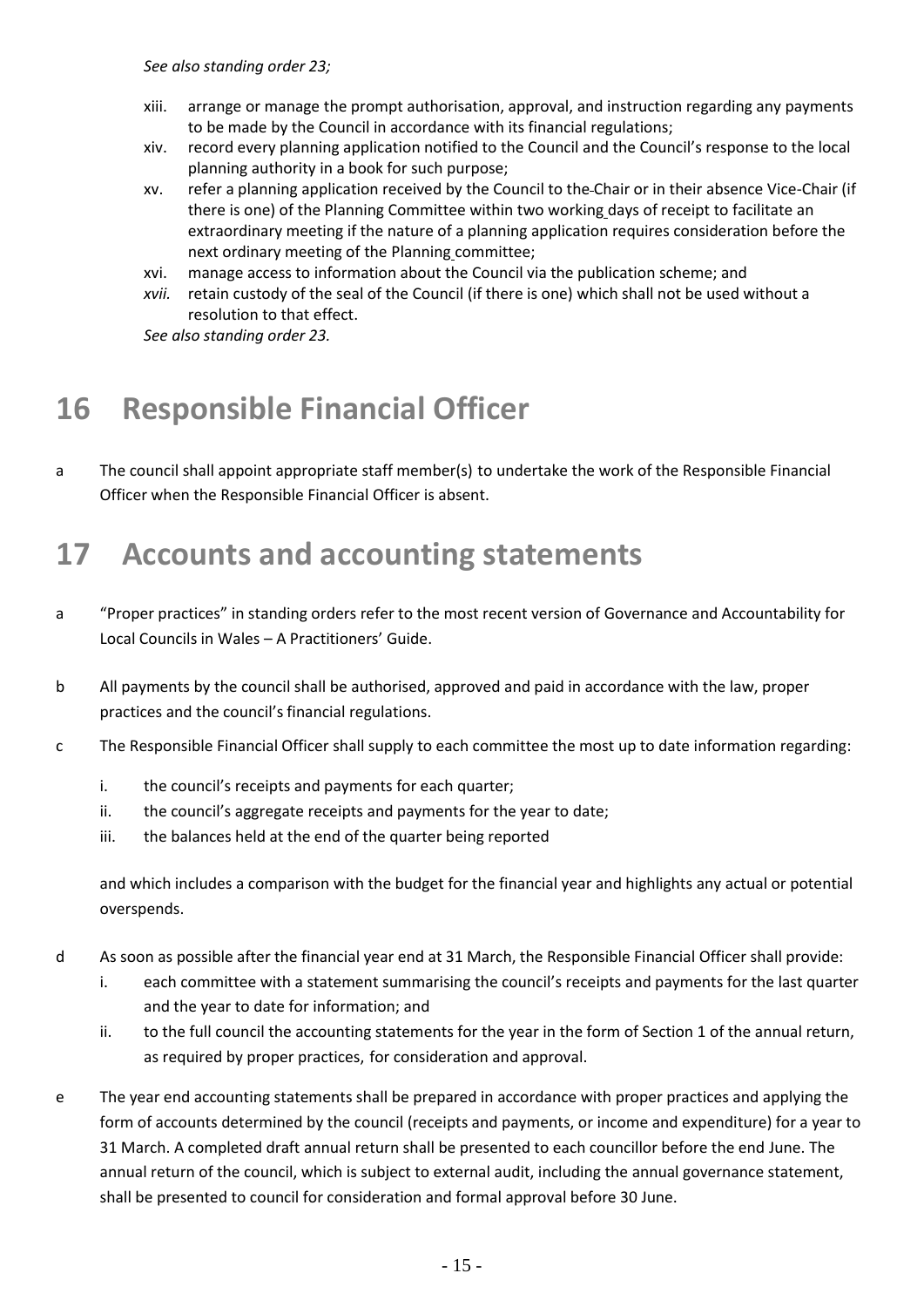*See also standing order 23;*

- xiii. arrange or manage the prompt authorisation, approval, and instruction regarding any payments to be made by the Council in accordance with its financial regulations;
- xiv. record every planning application notified to the Council and the Council's response to the local planning authority in a book for such purpose;
- xv. refer a planning application received by the Council to the Chair or in their absence Vice-Chair (if there is one) of the Planning Committee within two working days of receipt to facilitate an extraordinary meeting if the nature of a planning application requires consideration before the next ordinary meeting of the Planning committee;
- xvi. manage access to information about the Council via the publication scheme; and
- *xvii.* retain custody of the seal of the Council (if there is one) which shall not be used without a resolution to that effect.

*See also standing order 23.*

# **16 Responsible Financial Officer**

a The council shall appoint appropriate staff member(s) to undertake the work of the Responsible Financial Officer when the Responsible Financial Officer is absent.

#### **17 Accounts and accounting statements**

- a "Proper practices" in standing orders refer to the most recent version of Governance and Accountability for Local Councils in Wales – A Practitioners' Guide.
- b All payments by the council shall be authorised, approved and paid in accordance with the law, proper practices and the council's financial regulations.
- c The Responsible Financial Officer shall supply to each committee the most up to date information regarding:
	- i. the council's receipts and payments for each quarter;
	- ii. the council's aggregate receipts and payments for the year to date;
	- iii. the balances held at the end of the quarter being reported

and which includes a comparison with the budget for the financial year and highlights any actual or potential overspends.

- d As soon as possible after the financial year end at 31 March, the Responsible Financial Officer shall provide:
	- i. each committee with a statement summarising the council's receipts and payments for the last quarter and the year to date for information; and
	- ii. to the full council the accounting statements for the year in the form of Section 1 of the annual return, as required by proper practices, for consideration and approval.
- e The year end accounting statements shall be prepared in accordance with proper practices and applying the form of accounts determined by the council (receipts and payments, or income and expenditure) for a year to 31 March. A completed draft annual return shall be presented to each councillor before the end June. The annual return of the council, which is subject to external audit, including the annual governance statement, shall be presented to council for consideration and formal approval before 30 June.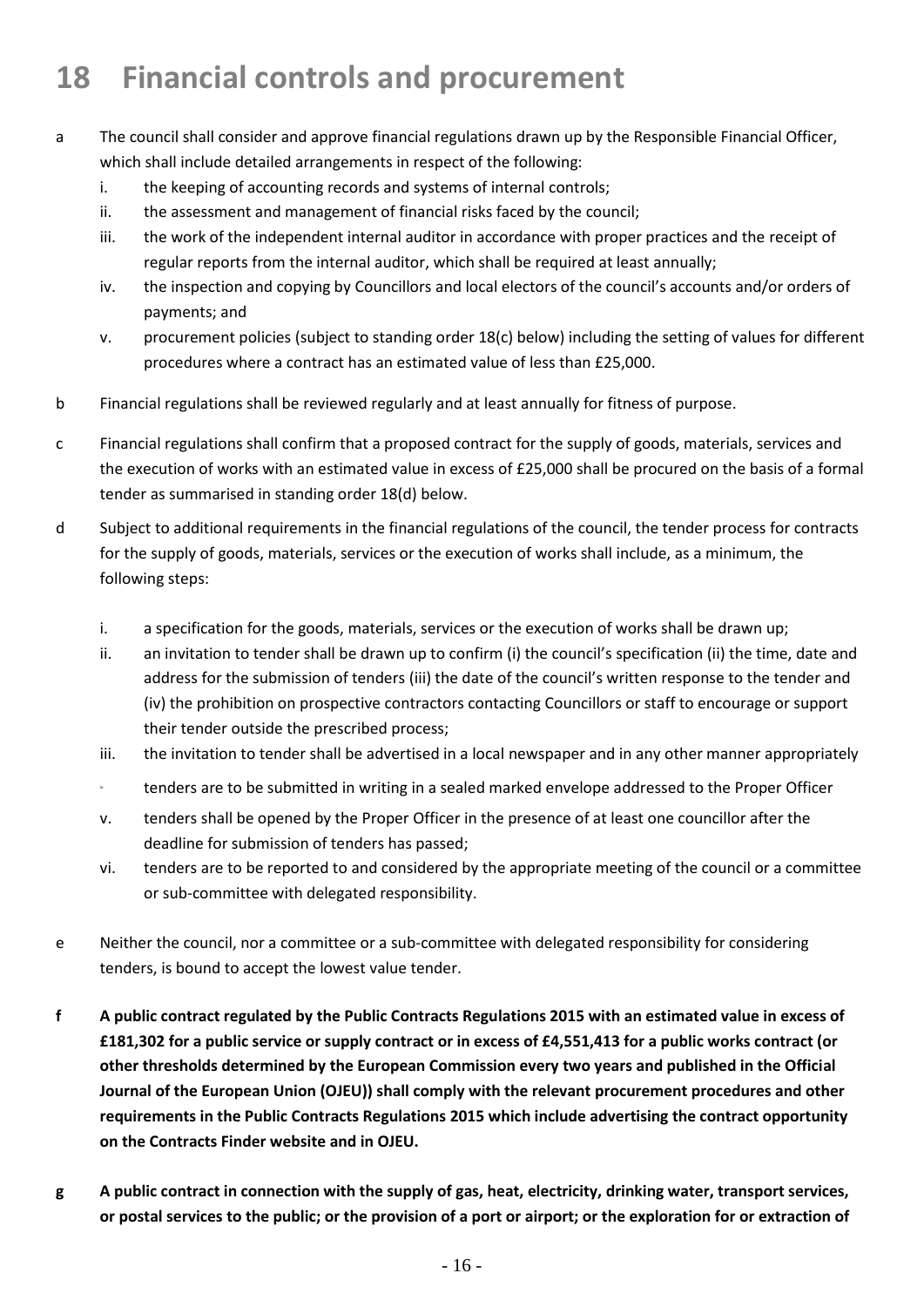# **18 Financial controls and procurement**

- a The council shall consider and approve financial regulations drawn up by the Responsible Financial Officer, which shall include detailed arrangements in respect of the following:
	- i. the keeping of accounting records and systems of internal controls;
	- ii. the assessment and management of financial risks faced by the council;
	- iii. the work of the independent internal auditor in accordance with proper practices and the receipt of regular reports from the internal auditor, which shall be required at least annually;
	- iv. the inspection and copying by Councillors and local electors of the council's accounts and/or orders of payments; and
	- v. procurement policies (subject to standing order 18(c) below) including the setting of values for different procedures where a contract has an estimated value of less than £25,000.
- b Financial regulations shall be reviewed regularly and at least annually for fitness of purpose.
- c Financial regulations shall confirm that a proposed contract for the supply of goods, materials, services and the execution of works with an estimated value in excess of £25,000 shall be procured on the basis of a formal tender as summarised in standing order 18(d) below.
- d Subject to additional requirements in the financial regulations of the council, the tender process for contracts for the supply of goods, materials, services or the execution of works shall include, as a minimum, the following steps:
	- i. a specification for the goods, materials, services or the execution of works shall be drawn up;
	- ii. an invitation to tender shall be drawn up to confirm (i) the council's specification (ii) the time, date and address for the submission of tenders (iii) the date of the council's written response to the tender and (iv) the prohibition on prospective contractors contacting Councillors or staff to encourage or support their tender outside the prescribed process;
	- iii. the invitation to tender shall be advertised in a local newspaper and in any other manner appropriately
	- **id.** tenders are to be submitted in writing in a sealed marked envelope addressed to the Proper Officer
	- v. tenders shall be opened by the Proper Officer in the presence of at least one councillor after the deadline for submission of tenders has passed;
	- vi. tenders are to be reported to and considered by the appropriate meeting of the council or a committee or sub-committee with delegated responsibility.
- e Neither the council, nor a committee or a sub-committee with delegated responsibility for considering tenders, is bound to accept the lowest value tender.
- **f A public contract regulated by the Public Contracts Regulations 2015 with an estimated value in excess of £181,302 for a public service or supply contract or in excess of £4,551,413 for a public works contract (or other thresholds determined by the European Commission every two years and published in the Official Journal of the European Union (OJEU)) shall comply with the relevant procurement procedures and other requirements in the Public Contracts Regulations 2015 which include advertising the contract opportunity on the Contracts Finder website and in OJEU.**
- **g A public contract in connection with the supply of gas, heat, electricity, drinking water, transport services, or postal services to the public; or the provision of a port or airport; or the exploration for or extraction of**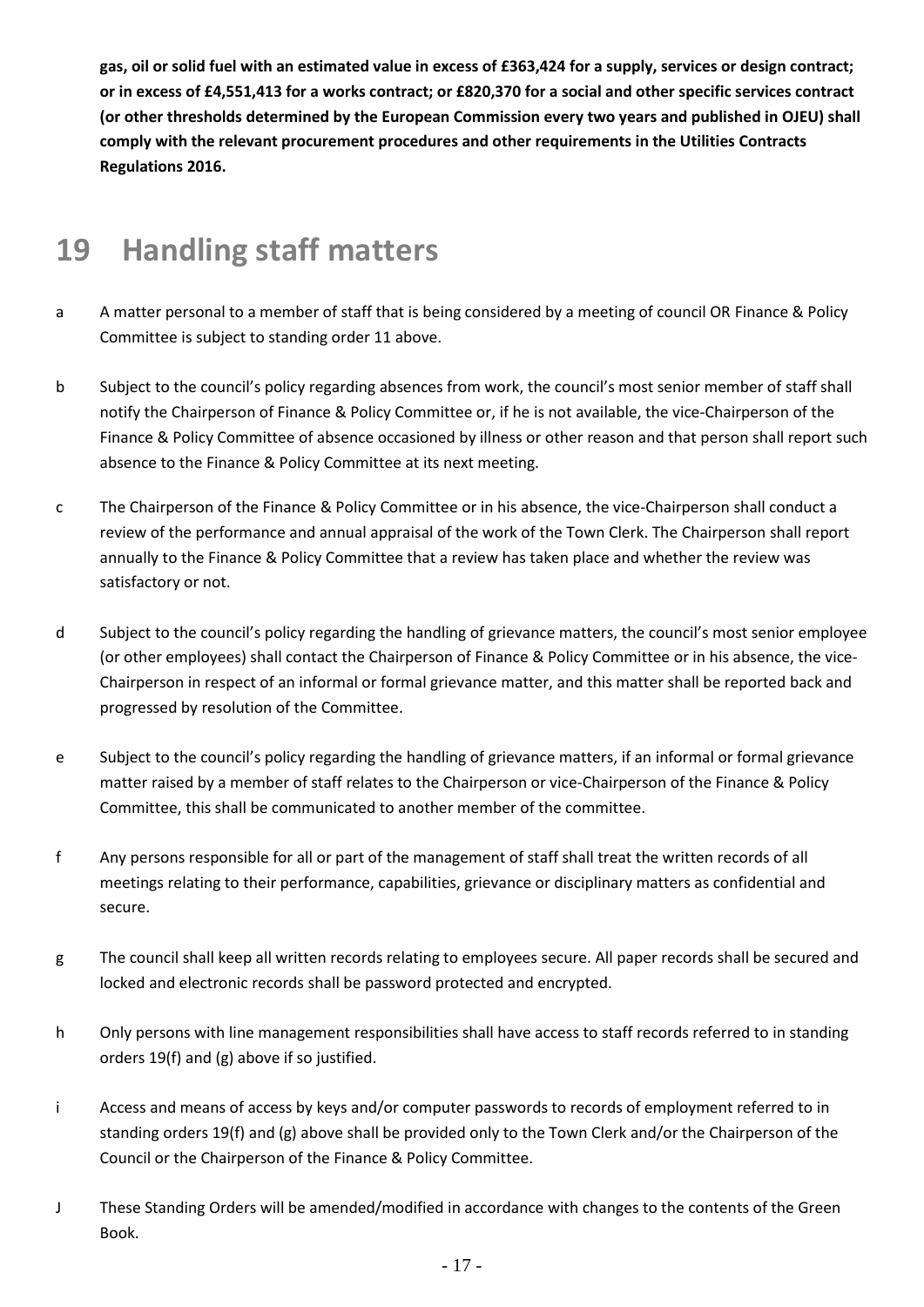**gas, oil or solid fuel with an estimated value in excess of £363,424 for a supply, services or design contract; or in excess of £4,551,413 for a works contract; or £820,370 for a social and other specific services contract (or other thresholds determined by the European Commission every two years and published in OJEU) shall comply with the relevant procurement procedures and other requirements in the Utilities Contracts Regulations 2016.**

# **19 Handling staff matters**

- a A matter personal to a member of staff that is being considered by a meeting of council OR Finance & Policy Committee is subject to standing order 11 above.
- b Subject to the council's policy regarding absences from work, the council's most senior member of staff shall notify the Chairperson of Finance & Policy Committee or, if he is not available, the vice-Chairperson of the Finance & Policy Committee of absence occasioned by illness or other reason and that person shall report such absence to the Finance & Policy Committee at its next meeting.
- c The Chairperson of the Finance & Policy Committee or in his absence, the vice-Chairperson shall conduct a review of the performance and annual appraisal of the work of the Town Clerk. The Chairperson shall report annually to the Finance & Policy Committee that a review has taken place and whether the review was satisfactory or not.
- d Subject to the council's policy regarding the handling of grievance matters, the council's most senior employee (or other employees) shall contact the Chairperson of Finance & Policy Committee or in his absence, the vice-Chairperson in respect of an informal or formal grievance matter, and this matter shall be reported back and progressed by resolution of the Committee.
- e Subject to the council's policy regarding the handling of grievance matters, if an informal or formal grievance matter raised by a member of staff relates to the Chairperson or vice-Chairperson of the Finance & Policy Committee, this shall be communicated to another member of the committee.
- f Any persons responsible for all or part of the management of staff shall treat the written records of all meetings relating to their performance, capabilities, grievance or disciplinary matters as confidential and secure.
- g The council shall keep all written records relating to employees secure. All paper records shall be secured and locked and electronic records shall be password protected and encrypted.
- h Only persons with line management responsibilities shall have access to staff records referred to in standing orders 19(f) and (g) above if so justified.
- i Access and means of access by keys and/or computer passwords to records of employment referred to in standing orders 19(f) and (g) above shall be provided only to the Town Clerk and/or the Chairperson of the Council or the Chairperson of the Finance & Policy Committee.
- J These Standing Orders will be amended/modified in accordance with changes to the contents of the Green Book.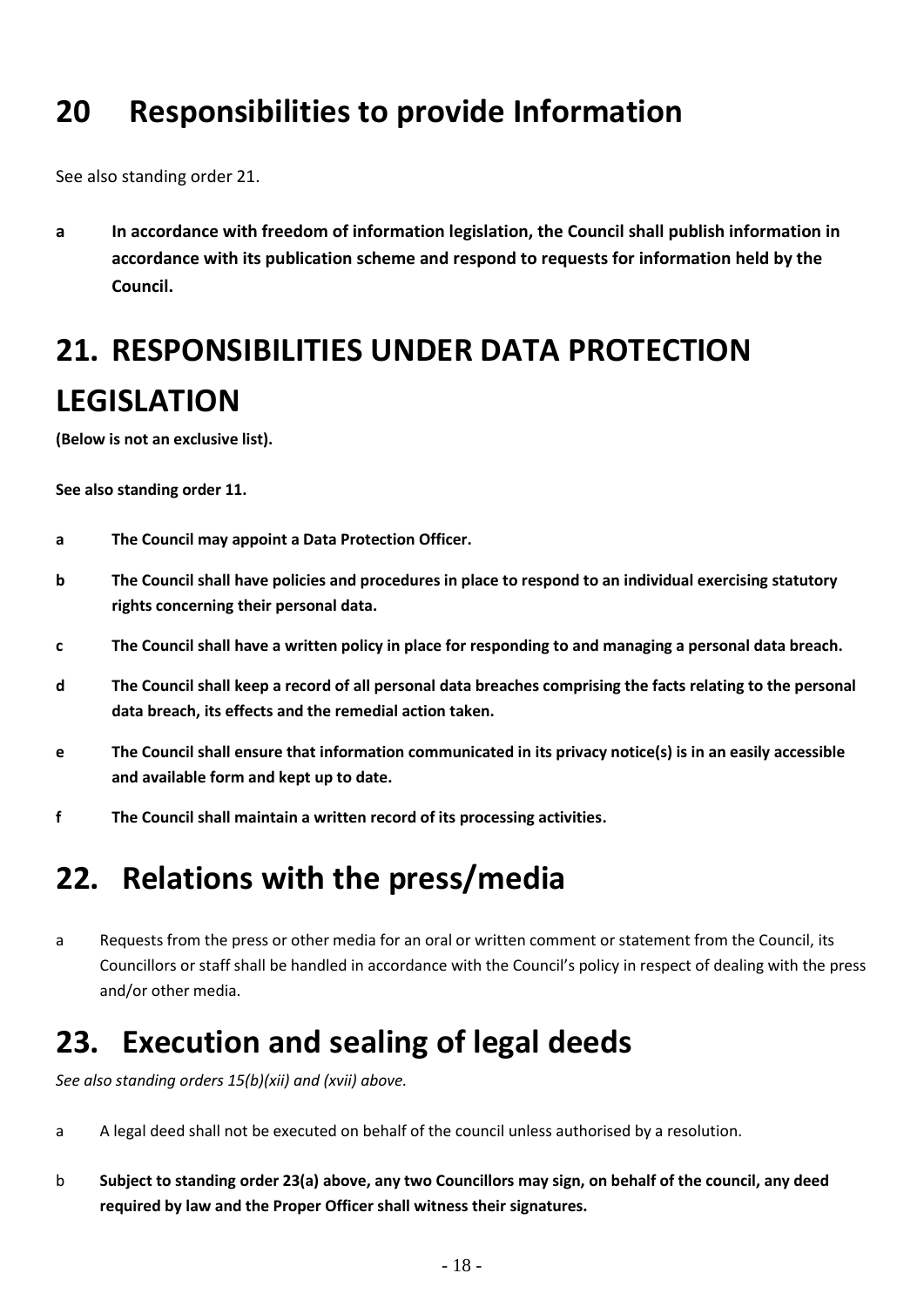# **20 Responsibilities to provide Information**

See also standing order 21.

**a In accordance with freedom of information legislation, the Council shall publish information in accordance with its publication scheme and respond to requests for information held by the Council.** 

# **21. RESPONSIBILITIES UNDER DATA PROTECTION LEGISLATION**

**(Below is not an exclusive list).** 

**See also standing order 11.**

- **a The Council may appoint a Data Protection Officer.**
- **b The Council shall have policies and procedures in place to respond to an individual exercising statutory rights concerning their personal data.**
- **c The Council shall have a written policy in place for responding to and managing a personal data breach.**
- **d The Council shall keep a record of all personal data breaches comprising the facts relating to the personal data breach, its effects and the remedial action taken.**
- **e The Council shall ensure that information communicated in its privacy notice(s) is in an easily accessible and available form and kept up to date.**
- **f The Council shall maintain a written record of its processing activities.**

#### **22. Relations with the press/media**

a Requests from the press or other media for an oral or written comment or statement from the Council, its Councillors or staff shall be handled in accordance with the Council's policy in respect of dealing with the press and/or other media.

#### **23. Execution and sealing of legal deeds**

*See also standing orders 15(b)(xii) and (xvii) above.*

- a A legal deed shall not be executed on behalf of the council unless authorised by a resolution.
- b **Subject to standing order 23(a) above, any two Councillors may sign, on behalf of the council, any deed required by law and the Proper Officer shall witness their signatures.**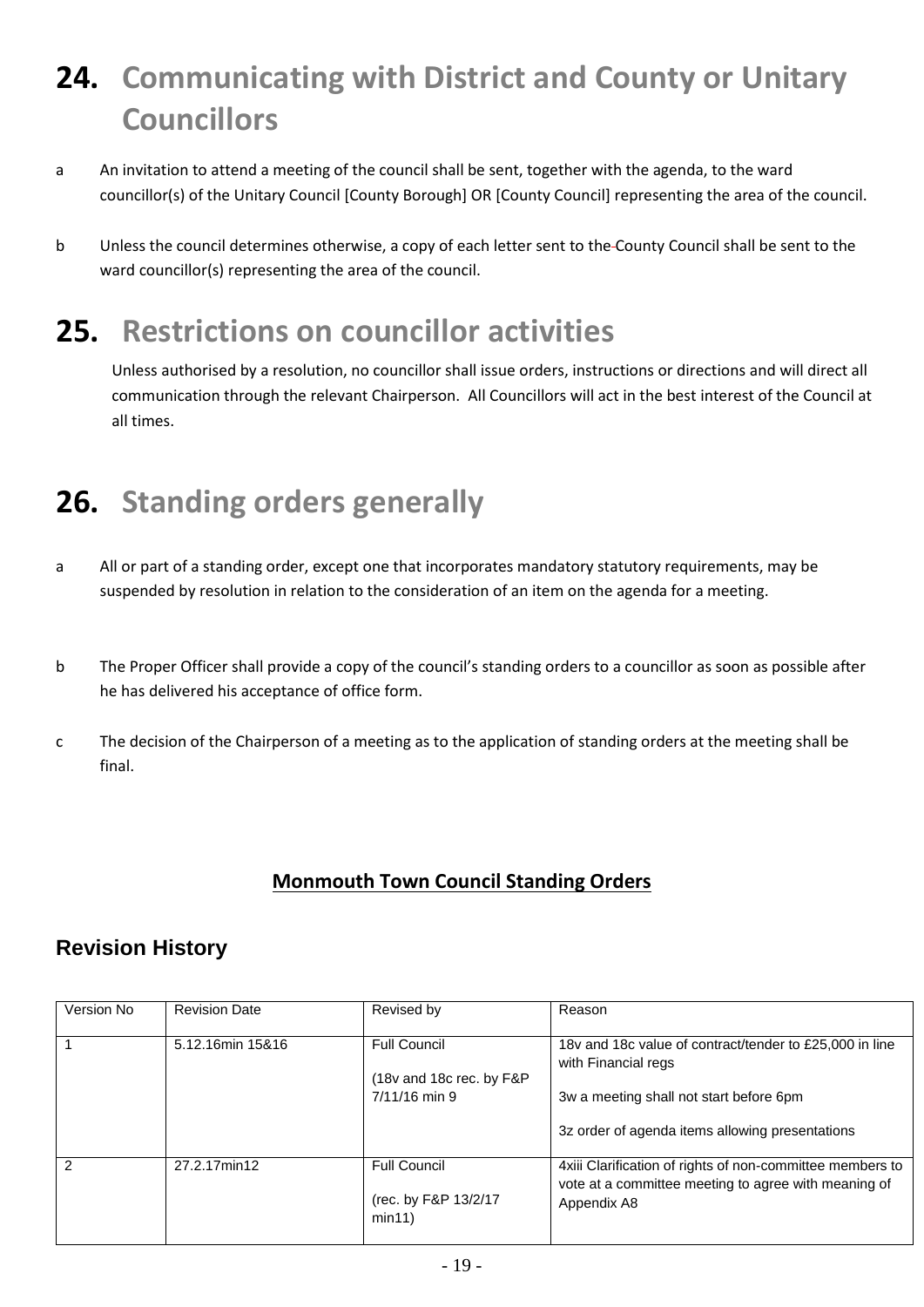# **24. Communicating with District and County or Unitary Councillors**

- a An invitation to attend a meeting of the council shall be sent, together with the agenda, to the ward councillor(s) of the Unitary Council [County Borough] OR [County Council] representing the area of the council.
- b Unless the council determines otherwise, a copy of each letter sent to the County Council shall be sent to the ward councillor(s) representing the area of the council.

# **25. Restrictions on councillor activities**

Unless authorised by a resolution, no councillor shall issue orders, instructions or directions and will direct all communication through the relevant Chairperson. All Councillors will act in the best interest of the Council at all times.

# **26. Standing orders generally**

- a All or part of a standing order, except one that incorporates mandatory statutory requirements, may be suspended by resolution in relation to the consideration of an item on the agenda for a meeting.
- b The Proper Officer shall provide a copy of the council's standing orders to a councillor as soon as possible after he has delivered his acceptance of office form.
- c The decision of the Chairperson of a meeting as to the application of standing orders at the meeting shall be final.

#### **Monmouth Town Council Standing Orders**

#### **Revision History**

| Version No | <b>Revision Date</b> | Revised by                                                       | Reason                                                                                                                           |
|------------|----------------------|------------------------------------------------------------------|----------------------------------------------------------------------------------------------------------------------------------|
|            | 5.12.16min 15&16     | <b>Full Council</b><br>(18v and 18c rec. by F&P<br>7/11/16 min 9 | 18y and 18c value of contract/tender to £25,000 in line<br>with Financial regs<br>3w a meeting shall not start before 6pm        |
|            |                      |                                                                  | 3z order of agenda items allowing presentations                                                                                  |
| 2          | 27.2.17min12         | <b>Full Council</b><br>(rec. by F&P 13/2/17<br>min11)            | 4xiii Clarification of rights of non-committee members to<br>vote at a committee meeting to agree with meaning of<br>Appendix A8 |